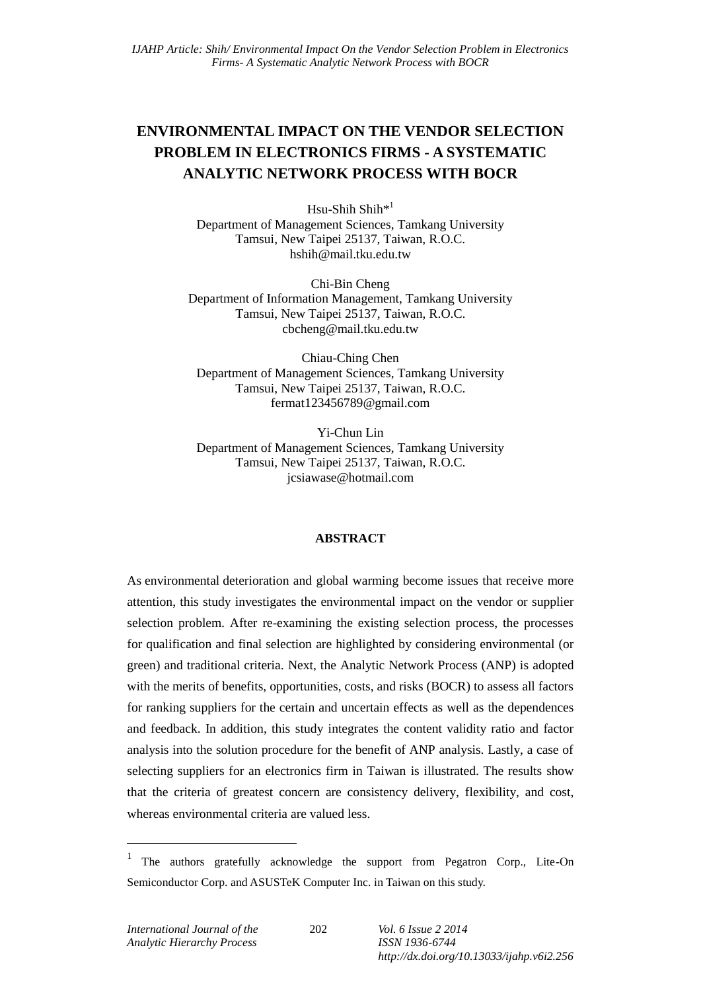# **ENVIRONMENTAL IMPACT ON THE VENDOR SELECTION PROBLEM IN ELECTRONICS FIRMS - A SYSTEMATIC ANALYTIC NETWORK PROCESS WITH BOCR**

Hsu-Shih Shih\*<sup>1</sup> Department of Management Sciences, Tamkang University Tamsui, New Taipei 25137, Taiwan, R.O.C. hshih@mail.tku.edu.tw

Chi-Bin Cheng Department of Information Management, Tamkang University Tamsui, New Taipei 25137, Taiwan, R.O.C. cbcheng@mail.tku.edu.tw

Chiau-Ching Chen Department of Management Sciences, Tamkang University Tamsui, New Taipei 25137, Taiwan, R.O.C. fermat123456789@gmail.com

Yi-Chun Lin Department of Management Sciences, Tamkang University Tamsui, New Taipei 25137, Taiwan, R.O.C. jcsiawase@hotmail.com

### **ABSTRACT**

As environmental deterioration and global warming become issues that receive more attention, this study investigates the environmental impact on the vendor or supplier selection problem. After re-examining the existing selection process, the processes for qualification and final selection are highlighted by considering environmental (or green) and traditional criteria. Next, the Analytic Network Process (ANP) is adopted with the merits of benefits, opportunities, costs, and risks (BOCR) to assess all factors for ranking suppliers for the certain and uncertain effects as well as the dependences and feedback. In addition, this study integrates the content validity ratio and factor analysis into the solution procedure for the benefit of ANP analysis. Lastly, a case of selecting suppliers for an electronics firm in Taiwan is illustrated. The results show that the criteria of greatest concern are consistency delivery, flexibility, and cost, whereas environmental criteria are valued less.

1

<sup>&</sup>lt;sup>1</sup> The authors gratefully acknowledge the support from Pegatron Corp., Lite-On Semiconductor Corp. and ASUSTeK Computer Inc. in Taiwan on this study.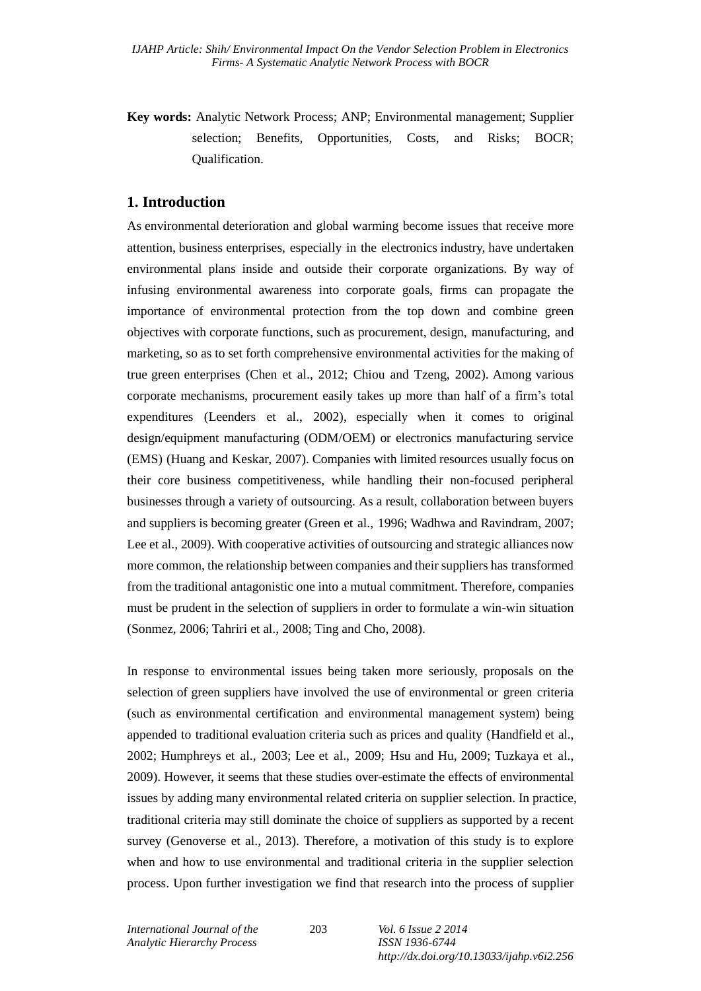**Key words:** Analytic Network Process; ANP; Environmental management; Supplier selection; Benefits, Opportunities, Costs, and Risks; BOCR; Qualification.

## **1. Introduction**

As environmental deterioration and global warming become issues that receive more attention, business enterprises, especially in the electronics industry, have undertaken environmental plans inside and outside their corporate organizations. By way of infusing environmental awareness into corporate goals, firms can propagate the importance of environmental protection from the top down and combine green objectives with corporate functions, such as procurement, design, manufacturing, and marketing, so as to set forth comprehensive environmental activities for the making of true green enterprises (Chen et al., 2012; Chiou and Tzeng, 2002). Among various corporate mechanisms, procurement easily takes up more than half of a firm's total expenditures (Leenders et al., 2002), especially when it comes to original design/equipment manufacturing (ODM/OEM) or electronics manufacturing service (EMS) (Huang and Keskar, 2007). Companies with limited resources usually focus on their core business competitiveness, while handling their non-focused peripheral businesses through a variety of outsourcing. As a result, collaboration between buyers and suppliers is becoming greater (Green et al., 1996; Wadhwa and Ravindram, 2007; Lee et al., 2009). With cooperative activities of outsourcing and strategic alliances now more common, the relationship between companies and their suppliers has transformed from the traditional antagonistic one into a mutual commitment. Therefore, companies must be prudent in the selection of suppliers in order to formulate a win-win situation (Sonmez, 2006; Tahriri et al., 2008; Ting and Cho, 2008).

In response to environmental issues being taken more seriously, proposals on the selection of green suppliers have involved the use of environmental or green criteria (such as environmental certification and environmental management system) being appended to traditional evaluation criteria such as prices and quality (Handfield et al., 2002; Humphreys et al., 2003; Lee et al., 2009; Hsu and Hu, 2009; Tuzkaya et al., 2009). However, it seems that these studies over-estimate the effects of environmental issues by adding many environmental related criteria on supplier selection. In practice, traditional criteria may still dominate the choice of suppliers as supported by a recent survey (Genoverse et al., 2013). Therefore, a motivation of this study is to explore when and how to use environmental and traditional criteria in the supplier selection process. Upon further investigation we find that research into the process of supplier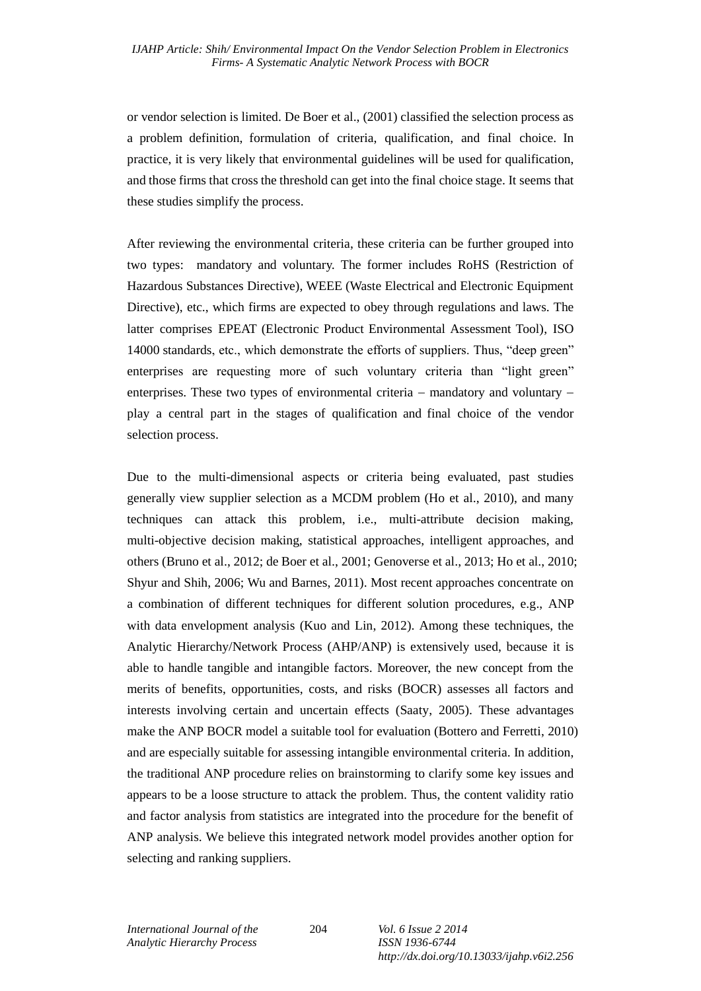or vendor selection is limited. De Boer et al., (2001) classified the selection process as a problem definition, formulation of criteria, qualification, and final choice. In practice, it is very likely that environmental guidelines will be used for qualification, and those firms that cross the threshold can get into the final choice stage. It seems that these studies simplify the process.

After reviewing the environmental criteria, these criteria can be further grouped into two types: mandatory and voluntary. The former includes RoHS (Restriction of Hazardous Substances Directive), WEEE (Waste Electrical and Electronic Equipment Directive), etc., which firms are expected to obey through regulations and laws. The latter comprises EPEAT (Electronic Product Environmental Assessment Tool), ISO 14000 standards, etc., which demonstrate the efforts of suppliers. Thus, "deep green" enterprises are requesting more of such voluntary criteria than "light green" enterprises. These two types of environmental criteria  $-$  mandatory and voluntary  $$ play a central part in the stages of qualification and final choice of the vendor selection process.

Due to the multi-dimensional aspects or criteria being evaluated, past studies generally view supplier selection as a MCDM problem (Ho et al., 2010), and many techniques can attack this problem, i.e., multi-attribute decision making, multi-objective decision making, statistical approaches, intelligent approaches, and others (Bruno et al., 2012; de Boer et al., 2001; Genoverse et al., 2013; Ho et al., 2010; Shyur and Shih, 2006; Wu and Barnes, 2011). Most recent approaches concentrate on a combination of different techniques for different solution procedures, e.g., ANP with data envelopment analysis (Kuo and Lin, 2012). Among these techniques, the Analytic Hierarchy/Network Process (AHP/ANP) is extensively used, because it is able to handle tangible and intangible factors. Moreover, the new concept from the merits of benefits, opportunities, costs, and risks (BOCR) assesses all factors and interests involving certain and uncertain effects (Saaty, 2005). These advantages make the ANP BOCR model a suitable tool for evaluation (Bottero and Ferretti, 2010) and are especially suitable for assessing intangible environmental criteria. In addition, the traditional ANP procedure relies on brainstorming to clarify some key issues and appears to be a loose structure to attack the problem. Thus, the content validity ratio and factor analysis from statistics are integrated into the procedure for the benefit of ANP analysis. We believe this integrated network model provides another option for selecting and ranking suppliers.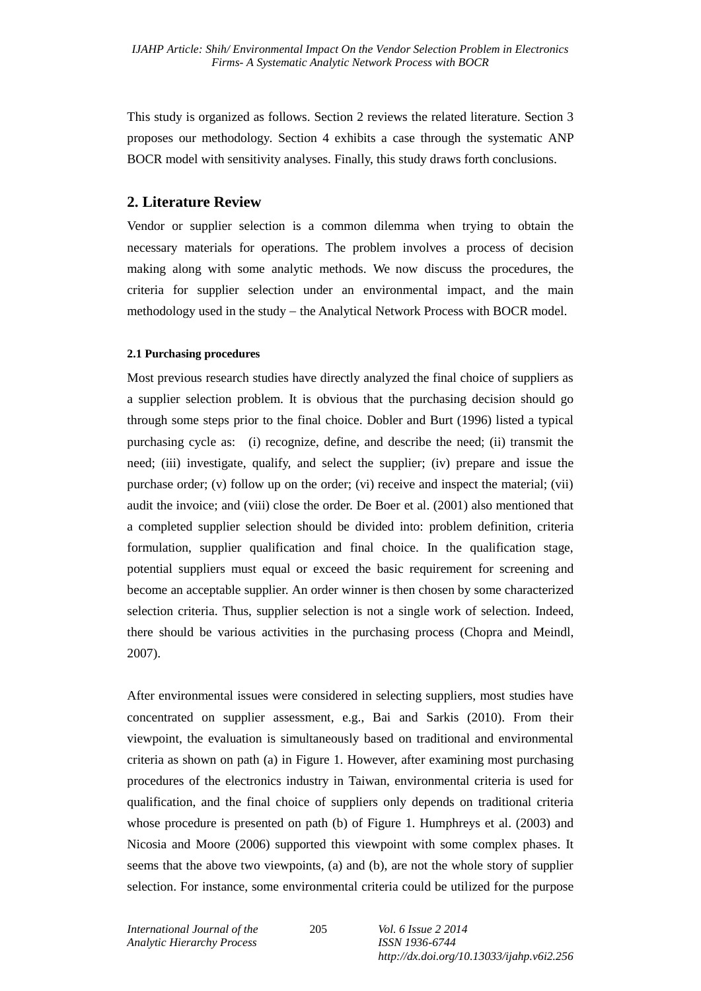This study is organized as follows. Section 2 reviews the related literature. Section 3 proposes our methodology. Section 4 exhibits a case through the systematic ANP BOCR model with sensitivity analyses. Finally, this study draws forth conclusions.

# **2. Literature Review**

Vendor or supplier selection is a common dilemma when trying to obtain the necessary materials for operations. The problem involves a process of decision making along with some analytic methods. We now discuss the procedures, the criteria for supplier selection under an environmental impact, and the main methodology used in the study – the Analytical Network Process with BOCR model.

## **2.1 Purchasing procedures**

Most previous research studies have directly analyzed the final choice of suppliers as a supplier selection problem. It is obvious that the purchasing decision should go through some steps prior to the final choice. Dobler and Burt (1996) listed a typical purchasing cycle as: (i) recognize, define, and describe the need; (ii) transmit the need; (iii) investigate, qualify, and select the supplier; (iv) prepare and issue the purchase order; (v) follow up on the order; (vi) receive and inspect the material; (vii) audit the invoice; and (viii) close the order. De Boer et al. (2001) also mentioned that a completed supplier selection should be divided into: problem definition, criteria formulation, supplier qualification and final choice. In the qualification stage, potential suppliers must equal or exceed the basic requirement for screening and become an acceptable supplier. An order winner is then chosen by some characterized selection criteria. Thus, supplier selection is not a single work of selection. Indeed, there should be various activities in the purchasing process (Chopra and Meindl, 2007).

After environmental issues were considered in selecting suppliers, most studies have concentrated on supplier assessment, e.g., Bai and Sarkis (2010). From their viewpoint, the evaluation is simultaneously based on traditional and environmental criteria as shown on path (a) in Figure 1. However, after examining most purchasing procedures of the electronics industry in Taiwan, environmental criteria is used for qualification, and the final choice of suppliers only depends on traditional criteria whose procedure is presented on path (b) of Figure 1. Humphreys et al. (2003) and Nicosia and Moore (2006) supported this viewpoint with some complex phases. It seems that the above two viewpoints, (a) and (b), are not the whole story of supplier selection. For instance, some environmental criteria could be utilized for the purpose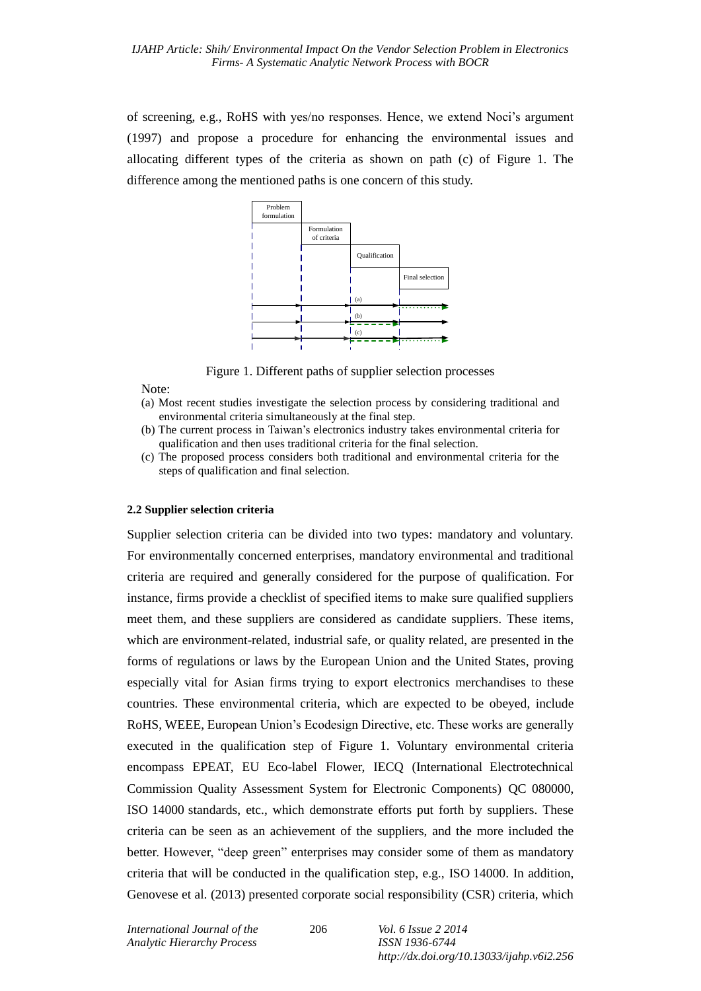of screening, e.g., RoHS with yes/no responses. Hence, we extend Noci's argument (1997) and propose a procedure for enhancing the environmental issues and allocating different types of the criteria as shown on path (c) of Figure 1. The difference among the mentioned paths is one concern of this study.



Figure 1. Different paths of supplier selection processes

#### Note:

- (a) Most recent studies investigate the selection process by considering traditional and environmental criteria simultaneously at the final step.
- (b) The current process in Taiwan's electronics industry takes environmental criteria for qualification and then uses traditional criteria for the final selection.
- (c) The proposed process considers both traditional and environmental criteria for the steps of qualification and final selection.

#### **2.2 Supplier selection criteria**

Supplier selection criteria can be divided into two types: mandatory and voluntary. For environmentally concerned enterprises, mandatory environmental and traditional criteria are required and generally considered for the purpose of qualification. For instance, firms provide a checklist of specified items to make sure qualified suppliers meet them, and these suppliers are considered as candidate suppliers. These items, which are environment-related, industrial safe, or quality related, are presented in the forms of regulations or laws by the European Union and the United States, proving especially vital for Asian firms trying to export electronics merchandises to these countries. These environmental criteria, which are expected to be obeyed, include RoHS, WEEE, European Union's Ecodesign Directive, etc. These works are generally executed in the qualification step of Figure 1. Voluntary environmental criteria encompass EPEAT, EU Eco-label Flower, IECQ (International Electrotechnical Commission Quality Assessment System for Electronic Components) QC 080000, ISO 14000 standards, etc., which demonstrate efforts put forth by suppliers. These criteria can be seen as an achievement of the suppliers, and the more included the better. However, "deep green" enterprises may consider some of them as mandatory criteria that will be conducted in the qualification step, e.g., ISO 14000. In addition, Genovese et al. (2013) presented corporate social responsibility (CSR) criteria, which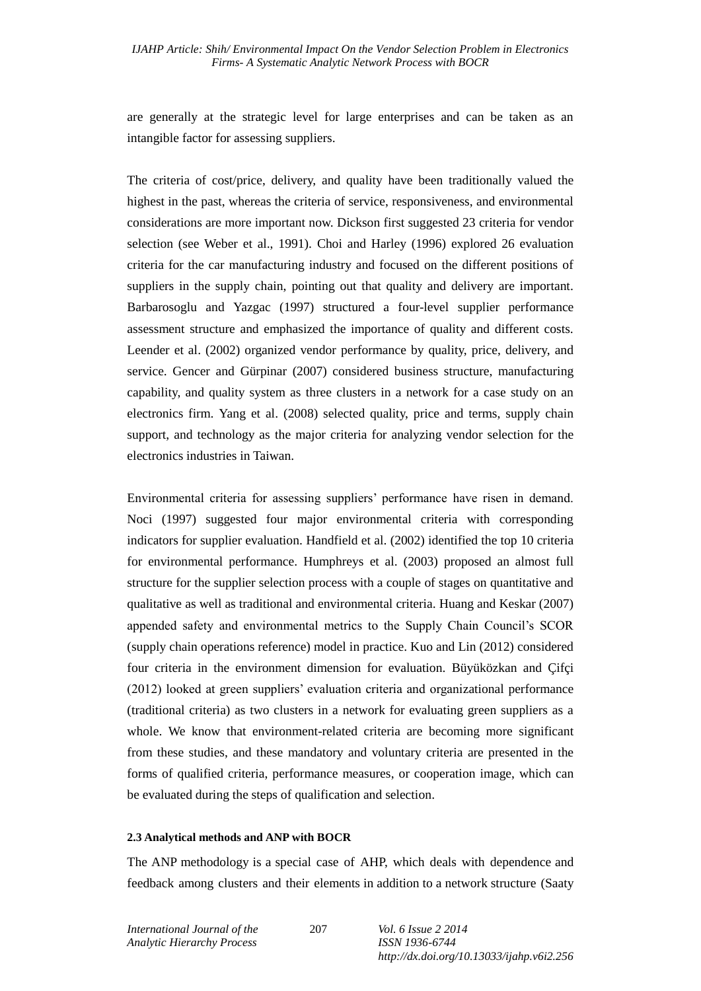are generally at the strategic level for large enterprises and can be taken as an intangible factor for assessing suppliers.

The criteria of cost/price, delivery, and quality have been traditionally valued the highest in the past, whereas the criteria of service, responsiveness, and environmental considerations are more important now. Dickson first suggested 23 criteria for vendor selection (see Weber et al., 1991). Choi and Harley (1996) explored 26 evaluation criteria for the car manufacturing industry and focused on the different positions of suppliers in the supply chain, pointing out that quality and delivery are important. Barbarosoglu and Yazgac (1997) structured a four-level supplier performance assessment structure and emphasized the importance of quality and different costs. Leender et al. (2002) organized vendor performance by quality, price, delivery, and service. Gencer and Gürpinar (2007) considered business structure, manufacturing capability, and quality system as three clusters in a network for a case study on an electronics firm. Yang et al. (2008) selected quality, price and terms, supply chain support, and technology as the major criteria for analyzing vendor selection for the electronics industries in Taiwan.

Environmental criteria for assessing suppliers' performance have risen in demand. Noci (1997) suggested four major environmental criteria with corresponding indicators for supplier evaluation. Handfield et al. (2002) identified the top 10 criteria for environmental performance. Humphreys et al. (2003) proposed an almost full structure for the supplier selection process with a couple of stages on quantitative and qualitative as well as traditional and environmental criteria. Huang and Keskar (2007) appended safety and environmental metrics to the Supply Chain Council's SCOR (supply chain operations reference) model in practice. Kuo and Lin (2012) considered four criteria in the environment dimension for evaluation. Büyüközkan and Çifçi (2012) looked at green suppliers' evaluation criteria and organizational performance (traditional criteria) as two clusters in a network for evaluating green suppliers as a whole. We know that environment-related criteria are becoming more significant from these studies, and these mandatory and voluntary criteria are presented in the forms of qualified criteria, performance measures, or cooperation image, which can be evaluated during the steps of qualification and selection.

#### **2.3 Analytical methods and ANP with BOCR**

The ANP methodology is a special case of AHP, which deals with dependence and feedback among clusters and their elements in addition to a network structure (Saaty

207 *Vol. 6 Issue 2 2014*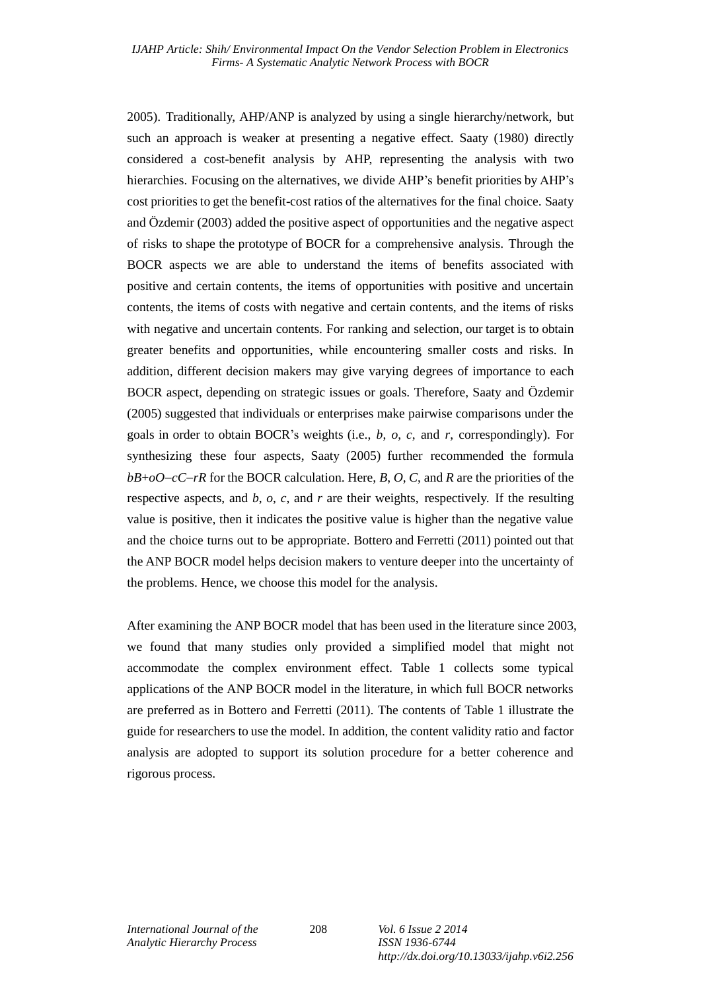2005). Traditionally, AHP/ANP is analyzed by using a single hierarchy/network, but such an approach is weaker at presenting a negative effect. Saaty (1980) directly considered a cost-benefit analysis by AHP, representing the analysis with two hierarchies. Focusing on the alternatives, we divide AHP's benefit priorities by AHP's cost priorities to get the benefit-cost ratios of the alternatives for the final choice. Saaty and Özdemir (2003) added the positive aspect of opportunities and the negative aspect of risks to shape the prototype of BOCR for a comprehensive analysis. Through the BOCR aspects we are able to understand the items of benefits associated with positive and certain contents, the items of opportunities with positive and uncertain contents, the items of costs with negative and certain contents, and the items of risks with negative and uncertain contents. For ranking and selection, our target is to obtain greater benefits and opportunities, while encountering smaller costs and risks. In addition, different decision makers may give varying degrees of importance to each BOCR aspect, depending on strategic issues or goals. Therefore, Saaty and Özdemir (2005) suggested that individuals or enterprises make pairwise comparisons under the goals in order to obtain BOCR's weights (i.e., *b*, *o*, *c*, and *r*, correspondingly). For synthesizing these four aspects, Saaty (2005) further recommended the formula *bB*+*oOcCrR* for the BOCR calculation. Here, *B*, *O*, *C*, and *R* are the priorities of the respective aspects, and *b*, *o*, *c*, and *r* are their weights, respectively. If the resulting value is positive, then it indicates the positive value is higher than the negative value and the choice turns out to be appropriate. Bottero and Ferretti (2011) pointed out that the ANP BOCR model helps decision makers to venture deeper into the uncertainty of the problems. Hence, we choose this model for the analysis.

After examining the ANP BOCR model that has been used in the literature since 2003, we found that many studies only provided a simplified model that might not accommodate the complex environment effect. Table 1 collects some typical applications of the ANP BOCR model in the literature, in which full BOCR networks are preferred as in Bottero and Ferretti (2011). The contents of Table 1 illustrate the guide for researchers to use the model. In addition, the content validity ratio and factor analysis are adopted to support its solution procedure for a better coherence and rigorous process.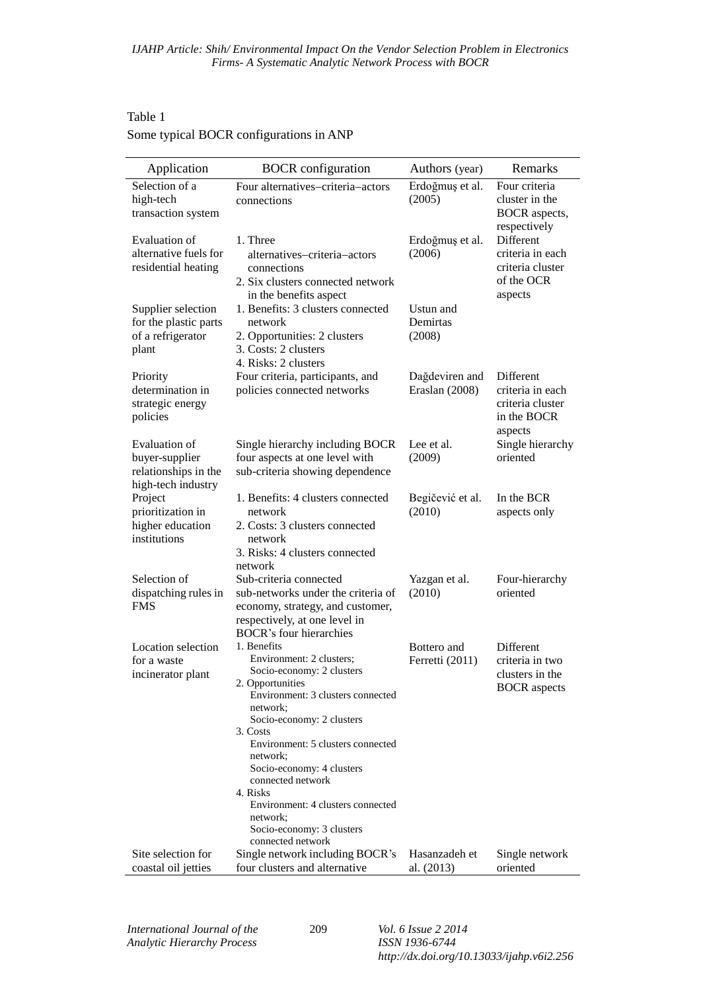# Table 1 Some typical BOCR configurations in ANP

| Application                                                                   | <b>BOCR</b> configuration                                                                                                                                                                                                                                                                                                                                                                            | Authors (year)                   | Remarks                                                                     |  |  |  |
|-------------------------------------------------------------------------------|------------------------------------------------------------------------------------------------------------------------------------------------------------------------------------------------------------------------------------------------------------------------------------------------------------------------------------------------------------------------------------------------------|----------------------------------|-----------------------------------------------------------------------------|--|--|--|
| Selection of a<br>high-tech<br>transaction system                             | Four alternatives-criteria-actors<br>connections                                                                                                                                                                                                                                                                                                                                                     | Erdoğmuş et al.<br>(2005)        | Four criteria<br>cluster in the<br><b>BOCR</b> aspects,<br>respectively     |  |  |  |
| Evaluation of<br>alternative fuels for<br>residential heating                 | 1. Three<br>alternatives-criteria-actors<br>connections<br>2. Six clusters connected network<br>in the benefits aspect                                                                                                                                                                                                                                                                               | Erdoğmuş et al.<br>(2006)        | Different<br>criteria in each<br>criteria cluster<br>of the OCR<br>aspects  |  |  |  |
| Supplier selection<br>for the plastic parts<br>of a refrigerator<br>plant     | 1. Benefits: 3 clusters connected<br>network<br>2. Opportunities: 2 clusters<br>3. Costs: 2 clusters<br>4. Risks: 2 clusters                                                                                                                                                                                                                                                                         | Ustun and<br>Demirtas<br>(2008)  |                                                                             |  |  |  |
| Priority<br>determination in<br>strategic energy<br>policies                  | Four criteria, participants, and<br>policies connected networks                                                                                                                                                                                                                                                                                                                                      | Dağdeviren and<br>Eraslan (2008) | Different<br>criteria in each<br>criteria cluster<br>in the BOCR<br>aspects |  |  |  |
| Evaluation of<br>buyer-supplier<br>relationships in the<br>high-tech industry | Single hierarchy including BOCR<br>four aspects at one level with<br>sub-criteria showing dependence                                                                                                                                                                                                                                                                                                 | Lee et al.<br>(2009)             | Single hierarchy<br>oriented                                                |  |  |  |
| Project<br>prioritization in<br>higher education<br>institutions              | 1. Benefits: 4 clusters connected<br>network<br>2. Costs: 3 clusters connected<br>network<br>3. Risks: 4 clusters connected<br>network                                                                                                                                                                                                                                                               | Begičević et al.<br>(2010)       | In the BCR<br>aspects only                                                  |  |  |  |
| Selection of<br>dispatching rules in<br>FMS                                   | Sub-criteria connected<br>sub-networks under the criteria of<br>economy, strategy, and customer,<br>respectively, at one level in<br><b>BOCR's four hierarchies</b>                                                                                                                                                                                                                                  | Yazgan et al.<br>(2010)          | Four-hierarchy<br>oriented                                                  |  |  |  |
| Location selection<br>for a waste<br>incinerator plant                        | 1. Benefits<br>Environment: 2 clusters;<br>Socio-economy: 2 clusters<br>2. Opportunities<br>Environment: 3 clusters connected<br>network;<br>Socio-economy: 2 clusters<br>3. Costs<br>Environment: 5 clusters connected<br>network;<br>Socio-economy: 4 clusters<br>connected network<br>4. Risks<br>Environment: 4 clusters connected<br>network;<br>Socio-economy: 3 clusters<br>connected network | Bottero and<br>Ferretti (2011)   | Different<br>criteria in two<br>clusters in the<br><b>BOCR</b> aspects      |  |  |  |
| Site selection for<br>coastal oil jetties                                     | Single network including BOCR's<br>four clusters and alternative                                                                                                                                                                                                                                                                                                                                     | Hasanzadeh et<br>al. (2013)      | Single network<br>oriented                                                  |  |  |  |

209 *Vol. 6 Issue 2 2014 ISSN 1936-6744 http://dx.doi.org/10.13033/ijahp.v6i2.256*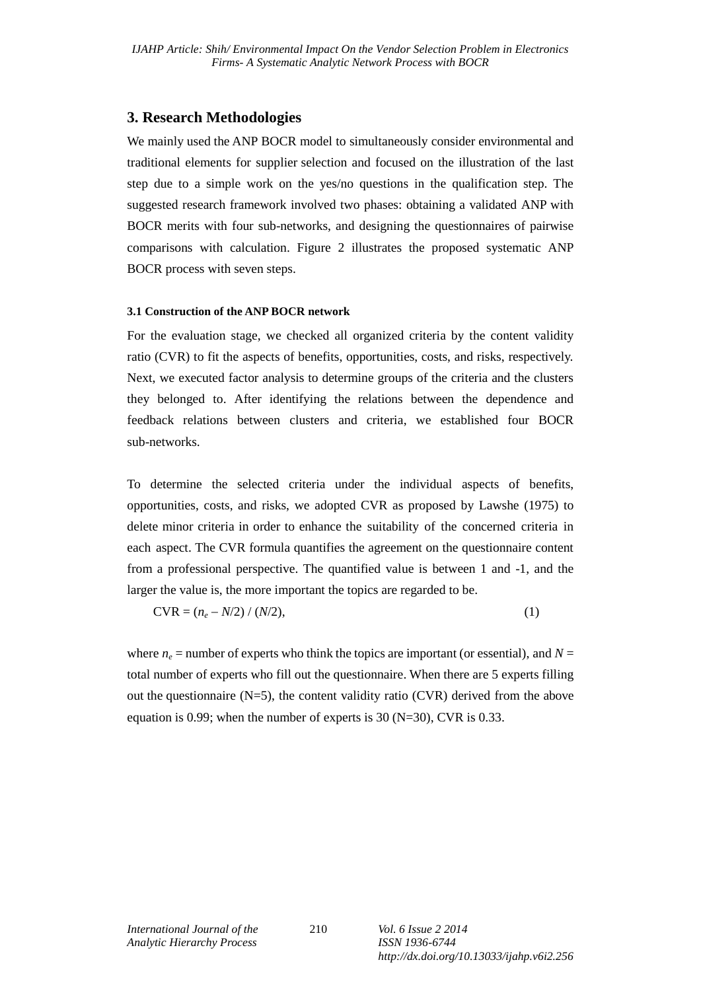## **3. Research Methodologies**

We mainly used the ANP BOCR model to simultaneously consider environmental and traditional elements for supplier selection and focused on the illustration of the last step due to a simple work on the yes/no questions in the qualification step. The suggested research framework involved two phases: obtaining a validated ANP with BOCR merits with four sub-networks, and designing the questionnaires of pairwise comparisons with calculation. Figure 2 illustrates the proposed systematic ANP BOCR process with seven steps.

### **3.1 Construction of the ANP BOCR network**

For the evaluation stage, we checked all organized criteria by the content validity ratio (CVR) to fit the aspects of benefits, opportunities, costs, and risks, respectively. Next, we executed factor analysis to determine groups of the criteria and the clusters they belonged to. After identifying the relations between the dependence and feedback relations between clusters and criteria, we established four BOCR sub-networks.

To determine the selected criteria under the individual aspects of benefits, opportunities, costs, and risks, we adopted CVR as proposed by Lawshe (1975) to delete minor criteria in order to enhance the suitability of the concerned criteria in each aspect. The CVR formula quantifies the agreement on the questionnaire content from a professional perspective. The quantified value is between 1 and -1, and the larger the value is, the more important the topics are regarded to be.

$$
CVR = (n_e - N/2) / (N/2),
$$
 (1)

where  $n_e$  = number of experts who think the topics are important (or essential), and  $N =$ total number of experts who fill out the questionnaire. When there are 5 experts filling out the questionnaire  $(N=5)$ , the content validity ratio  $(CVR)$  derived from the above equation is 0.99; when the number of experts is 30 (N=30), CVR is 0.33.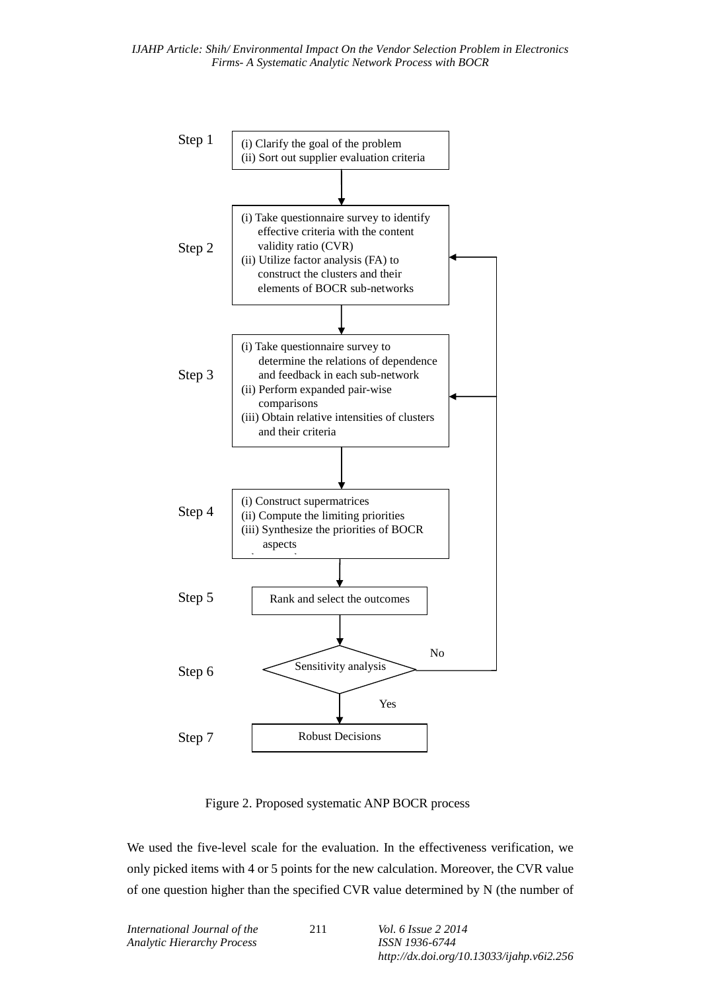

Figure 2. Proposed systematic ANP BOCR process

We used the five-level scale for the evaluation. In the effectiveness verification, we only picked items with 4 or 5 points for the new calculation. Moreover, the CVR value of one question higher than the specified CVR value determined by N (the number of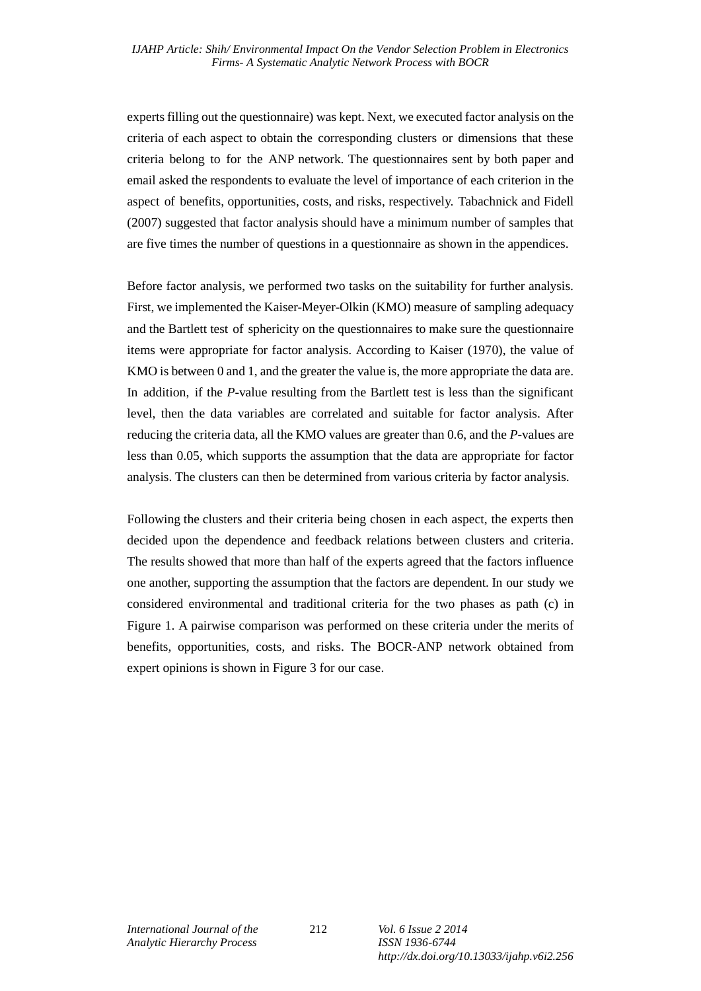experts filling out the questionnaire) was kept. Next, we executed factor analysis on the criteria of each aspect to obtain the corresponding clusters or dimensions that these criteria belong to for the ANP network. The questionnaires sent by both paper and email asked the respondents to evaluate the level of importance of each criterion in the aspect of benefits, opportunities, costs, and risks, respectively. Tabachnick and Fidell (2007) suggested that factor analysis should have a minimum number of samples that are five times the number of questions in a questionnaire as shown in the appendices.

Before factor analysis, we performed two tasks on the suitability for further analysis. First, we implemented the Kaiser-Meyer-Olkin (KMO) measure of sampling adequacy and the Bartlett test of sphericity on the questionnaires to make sure the questionnaire items were appropriate for factor analysis. According to Kaiser (1970), the value of KMO is between 0 and 1, and the greater the value is, the more appropriate the data are. In addition, if the *P*-value resulting from the Bartlett test is less than the significant level, then the data variables are correlated and suitable for factor analysis. After reducing the criteria data, all the KMO values are greater than 0.6, and the *P*-values are less than 0.05, which supports the assumption that the data are appropriate for factor analysis. The clusters can then be determined from various criteria by factor analysis.

Following the clusters and their criteria being chosen in each aspect, the experts then decided upon the dependence and feedback relations between clusters and criteria. The results showed that more than half of the experts agreed that the factors influence one another, supporting the assumption that the factors are dependent. In our study we considered environmental and traditional criteria for the two phases as path (c) in Figure 1. A pairwise comparison was performed on these criteria under the merits of benefits, opportunities, costs, and risks. The BOCR-ANP network obtained from expert opinions is shown in Figure 3 for our case.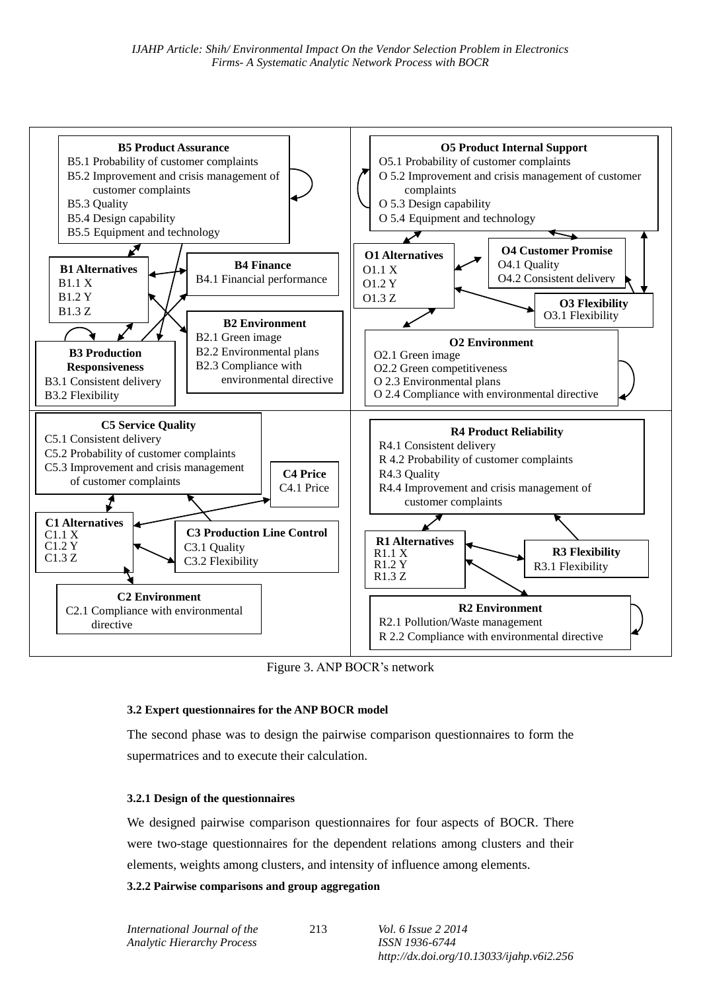

Figure 3. ANP BOCR's network

### **3.2 Expert questionnaires for the ANP BOCR model**

The second phase was to design the pairwise comparison questionnaires to form the supermatrices and to execute their calculation.

#### **3.2.1 Design of the questionnaires**

We designed pairwise comparison questionnaires for four aspects of BOCR. There were two-stage questionnaires for the dependent relations among clusters and their elements, weights among clusters, and intensity of influence among elements.

### **3.2.2 Pairwise comparisons and group aggregation**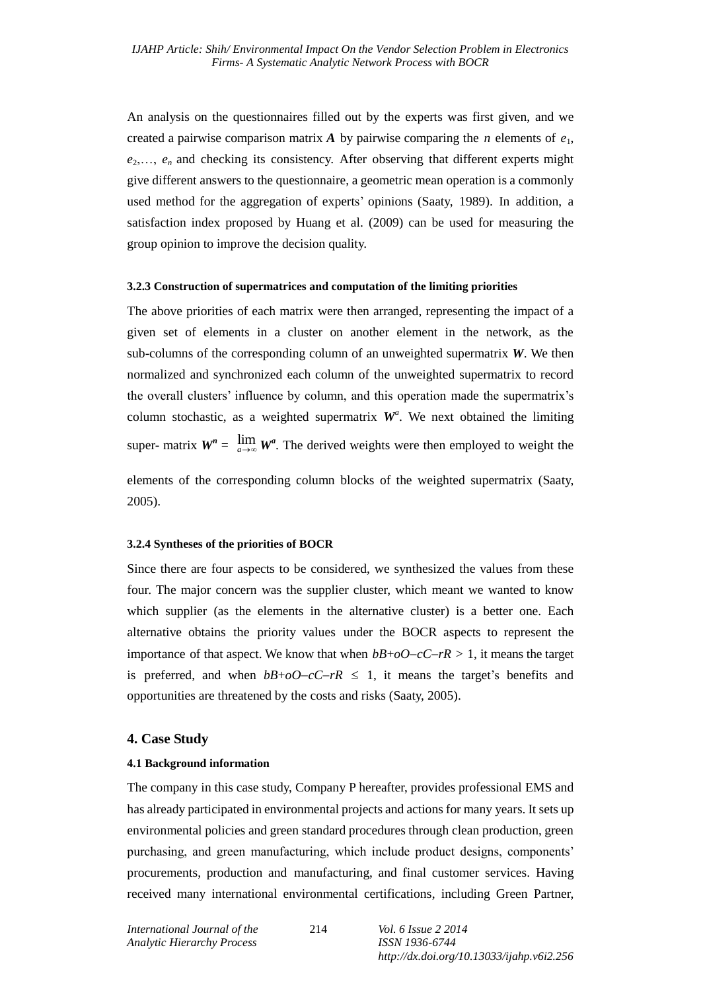An analysis on the questionnaires filled out by the experts was first given, and we created a pairwise comparison matrix  $\vec{A}$  by pairwise comparing the *n* elements of  $e_1$ ,  $e_2, \ldots, e_n$  and checking its consistency. After observing that different experts might give different answers to the questionnaire, a geometric mean operation is a commonly used method for the aggregation of experts' opinions (Saaty, 1989). In addition, a satisfaction index proposed by Huang et al. (2009) can be used for measuring the group opinion to improve the decision quality.

#### **3.2.3 Construction of supermatrices and computation of the limiting priorities**

The above priorities of each matrix were then arranged, representing the impact of a given set of elements in a cluster on another element in the network, as the sub-columns of the corresponding column of an unweighted supermatrix *W*. We then normalized and synchronized each column of the unweighted supermatrix to record the overall clusters' influence by column, and this operation made the supermatrix's column stochastic, as a weighted supermatrix  $W^a$ . We next obtained the limiting super- matrix  $W^n = \lim_{a \to \infty} W^a$ . The derived weights were then employed to weight the

elements of the corresponding column blocks of the weighted supermatrix (Saaty, 2005).

#### **3.2.4 Syntheses of the priorities of BOCR**

Since there are four aspects to be considered, we synthesized the values from these four. The major concern was the supplier cluster, which meant we wanted to know which supplier (as the elements in the alternative cluster) is a better one. Each alternative obtains the priority values under the BOCR aspects to represent the importance of that aspect. We know that when  $bB+oO-cC-rR > 1$ , it means the target is preferred, and when  $bB + oO - cC - rR \leq 1$ , it means the target's benefits and opportunities are threatened by the costs and risks (Saaty, 2005).

#### **4. Case Study**

#### **4.1 Background information**

The company in this case study, Company P hereafter, provides professional EMS and has already participated in environmental projects and actions for many years. It sets up environmental policies and green standard procedures through clean production, green purchasing, and green manufacturing, which include product designs, components' procurements, production and manufacturing, and final customer services. Having received many international environmental certifications, including Green Partner,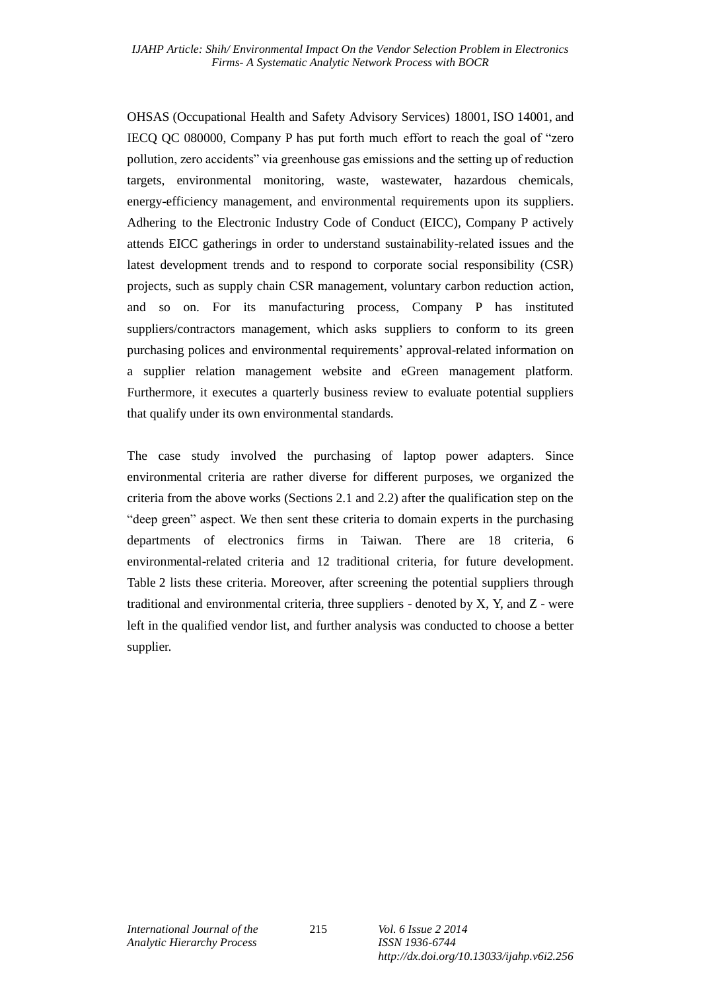OHSAS (Occupational Health and Safety Advisory Services) 18001, ISO 14001, and IECQ QC 080000, Company P has put forth much effort to reach the goal of "zero pollution, zero accidents" via greenhouse gas emissions and the setting up of reduction targets, environmental monitoring, waste, wastewater, hazardous chemicals, energy-efficiency management, and environmental requirements upon its suppliers. Adhering to the Electronic Industry Code of Conduct (EICC), Company P actively attends EICC gatherings in order to understand sustainability-related issues and the latest development trends and to respond to corporate social responsibility (CSR) projects, such as supply chain CSR management, voluntary carbon reduction action, and so on. For its manufacturing process, Company P has instituted suppliers/contractors management, which asks suppliers to conform to its green purchasing polices and environmental requirements' approval-related information on a supplier relation management website and eGreen management platform. Furthermore, it executes a quarterly business review to evaluate potential suppliers that qualify under its own environmental standards.

The case study involved the purchasing of laptop power adapters. Since environmental criteria are rather diverse for different purposes, we organized the criteria from the above works (Sections 2.1 and 2.2) after the qualification step on the "deep green" aspect. We then sent these criteria to domain experts in the purchasing departments of electronics firms in Taiwan. There are 18 criteria, 6 environmental-related criteria and 12 traditional criteria, for future development. Table 2 lists these criteria. Moreover, after screening the potential suppliers through traditional and environmental criteria, three suppliers - denoted by  $X$ ,  $Y$ , and  $Z$  - were left in the qualified vendor list, and further analysis was conducted to choose a better supplier.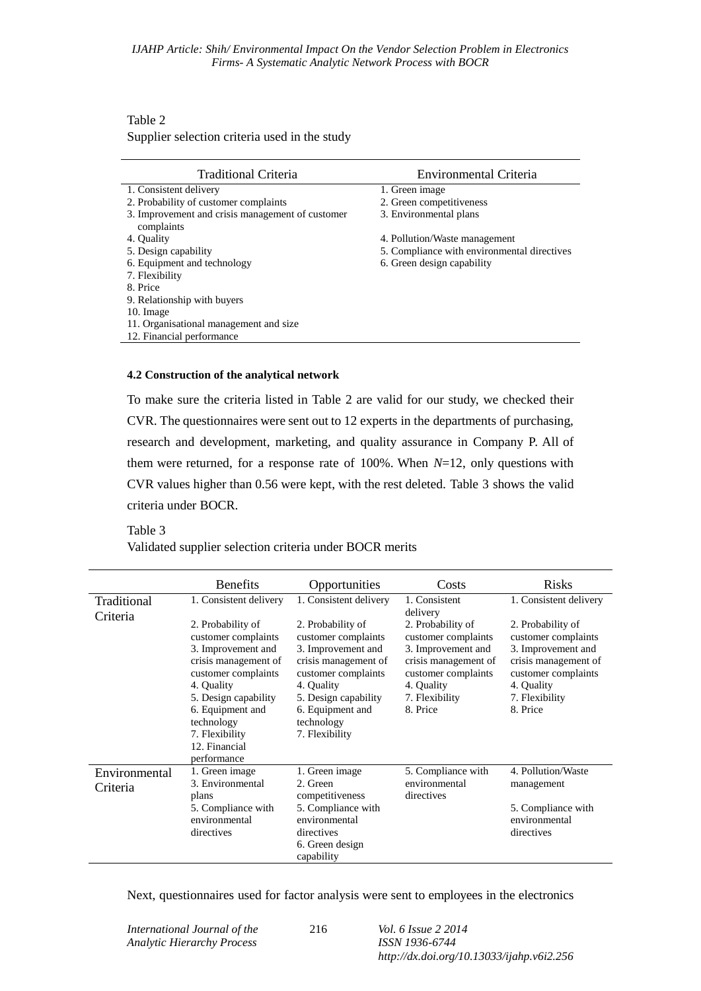## Table 2 Supplier selection criteria used in the study

| <b>Traditional Criteria</b>                                    | <b>Environmental Criteria</b>               |
|----------------------------------------------------------------|---------------------------------------------|
| 1. Consistent delivery                                         | 1. Green image                              |
| 2. Probability of customer complaints                          | 2. Green competitiveness                    |
| 3. Improvement and crisis management of customer<br>complaints | 3. Environmental plans                      |
| 4. Quality                                                     | 4. Pollution/Waste management               |
| 5. Design capability                                           | 5. Compliance with environmental directives |
| 6. Equipment and technology                                    | 6. Green design capability                  |
| 7. Flexibility                                                 |                                             |
| 8. Price                                                       |                                             |
| 9. Relationship with buyers                                    |                                             |
| 10. Image                                                      |                                             |
| 11. Organisational management and size                         |                                             |
| 12. Financial performance                                      |                                             |

#### **4.2 Construction of the analytical network**

To make sure the criteria listed in Table 2 are valid for our study, we checked their CVR. The questionnaires were sent out to 12 experts in the departments of purchasing, research and development, marketing, and quality assurance in Company P. All of them were returned, for a response rate of 100%. When *N*=12, only questions with CVR values higher than 0.56 were kept, with the rest deleted. Table 3 shows the valid criteria under BOCR.

#### Table 3

Validated supplier selection criteria under BOCR merits

| <b>Benefits</b>                                                                                                                                                                                                                         | Opportunities                                                                                                                                                                                           | Costs                                                                                                                                                     | <b>Risks</b>                                                                                                                                              |
|-----------------------------------------------------------------------------------------------------------------------------------------------------------------------------------------------------------------------------------------|---------------------------------------------------------------------------------------------------------------------------------------------------------------------------------------------------------|-----------------------------------------------------------------------------------------------------------------------------------------------------------|-----------------------------------------------------------------------------------------------------------------------------------------------------------|
| 1. Consistent delivery                                                                                                                                                                                                                  | 1. Consistent delivery                                                                                                                                                                                  | 1. Consistent                                                                                                                                             | 1. Consistent delivery                                                                                                                                    |
| 2. Probability of<br>customer complaints<br>3. Improvement and<br>crisis management of<br>customer complaints<br>4. Ouality<br>5. Design capability<br>6. Equipment and<br>technology<br>7. Flexibility<br>12. Financial<br>performance | 2. Probability of<br>customer complaints<br>3. Improvement and<br>crisis management of<br>customer complaints<br>4. Ouality<br>5. Design capability<br>6. Equipment and<br>technology<br>7. Flexibility | 2. Probability of<br>customer complaints<br>3. Improvement and<br>crisis management of<br>customer complaints<br>4. Quality<br>7. Flexibility<br>8. Price | 2. Probability of<br>customer complaints<br>3. Improvement and<br>crisis management of<br>customer complaints<br>4. Quality<br>7. Flexibility<br>8. Price |
| 1. Green image                                                                                                                                                                                                                          | 1. Green image                                                                                                                                                                                          | 5. Compliance with                                                                                                                                        | 4. Pollution/Waste<br>management                                                                                                                          |
| plans                                                                                                                                                                                                                                   | competitiveness                                                                                                                                                                                         | directives                                                                                                                                                |                                                                                                                                                           |
| 5. Compliance with                                                                                                                                                                                                                      | 5. Compliance with                                                                                                                                                                                      |                                                                                                                                                           | 5. Compliance with<br>environmental                                                                                                                       |
| directives                                                                                                                                                                                                                              | directives                                                                                                                                                                                              |                                                                                                                                                           | directives                                                                                                                                                |
|                                                                                                                                                                                                                                         | 6. Green design<br>capability                                                                                                                                                                           |                                                                                                                                                           |                                                                                                                                                           |
|                                                                                                                                                                                                                                         | 3. Environmental<br>environmental                                                                                                                                                                       | 2. Green<br>environmental                                                                                                                                 | delivery<br>environmental                                                                                                                                 |

Next, questionnaires used for factor analysis were sent to employees in the electronics

216 *Vol. 6 Issue 2 2014 ISSN 1936-6744 http://dx.doi.org/10.13033/ijahp.v6i2.256*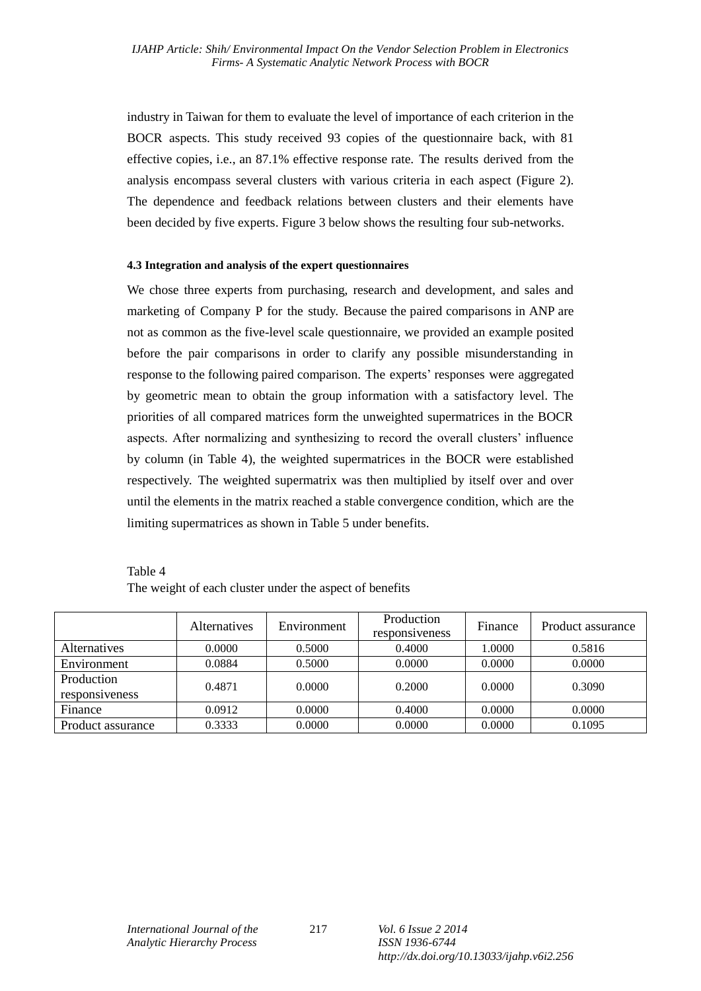industry in Taiwan for them to evaluate the level of importance of each criterion in the BOCR aspects. This study received 93 copies of the questionnaire back, with 81 effective copies, i.e., an 87.1% effective response rate. The results derived from the analysis encompass several clusters with various criteria in each aspect (Figure 2). The dependence and feedback relations between clusters and their elements have been decided by five experts. Figure 3 below shows the resulting four sub-networks.

### **4.3 Integration and analysis of the expert questionnaires**

We chose three experts from purchasing, research and development, and sales and marketing of Company P for the study. Because the paired comparisons in ANP are not as common as the five-level scale questionnaire, we provided an example posited before the pair comparisons in order to clarify any possible misunderstanding in response to the following paired comparison. The experts' responses were aggregated by geometric mean to obtain the group information with a satisfactory level. The priorities of all compared matrices form the unweighted supermatrices in the BOCR aspects. After normalizing and synthesizing to record the overall clusters' influence by column (in Table 4), the weighted supermatrices in the BOCR were established respectively. The weighted supermatrix was then multiplied by itself over and over until the elements in the matrix reached a stable convergence condition, which are the limiting supermatrices as shown in Table 5 under benefits.

| Table 4                                                 |
|---------------------------------------------------------|
| The weight of each cluster under the aspect of benefits |

|                              | <i>Alternatives</i> | Environment | Production<br>responsiveness | Finance | Product assurance |
|------------------------------|---------------------|-------------|------------------------------|---------|-------------------|
| <i>Alternatives</i>          | 0.0000              | 0.5000      | 0.4000                       | 1.0000  | 0.5816            |
| Environment                  | 0.0884              | 0.5000      | 0.0000                       | 0.0000  | 0.0000            |
| Production<br>responsiveness | 0.4871              | 0.0000      | 0.2000                       | 0.0000  | 0.3090            |
| Finance                      | 0.0912              | 0.0000      | 0.4000                       | 0.0000  | 0.0000            |
| Product assurance            | 0.3333              | 0.0000      | 0.0000                       | 0.0000  | 0.1095            |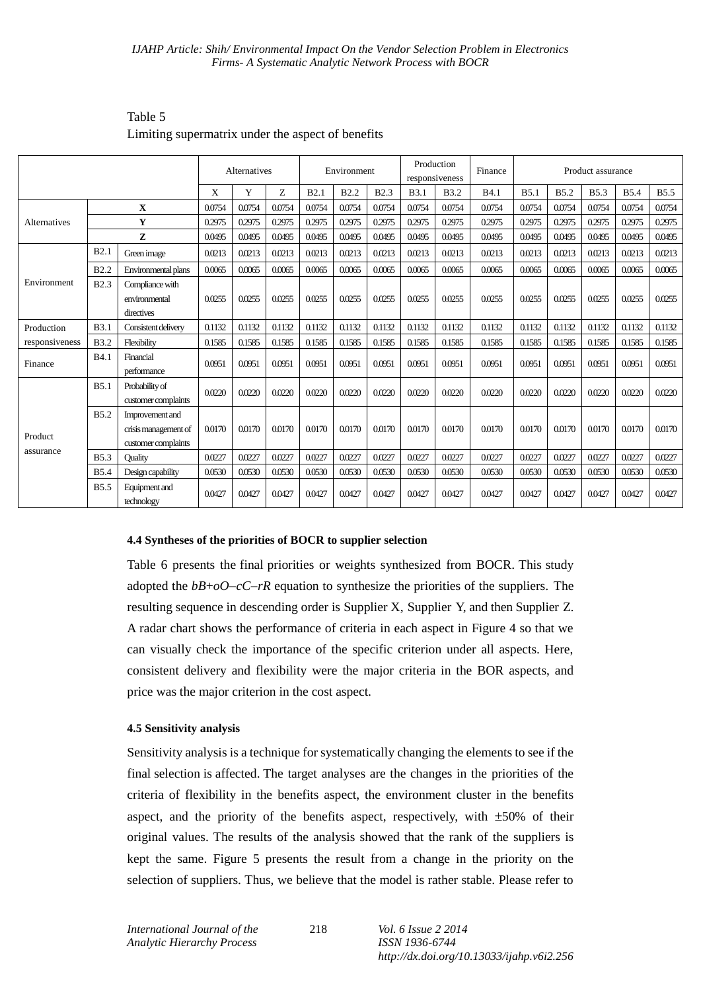|                |             | Alternatives                                                   |        |        | Environment |        |             | Production<br>responsiveness |             | Finance      | Product assurance |                  |             |             |             |             |
|----------------|-------------|----------------------------------------------------------------|--------|--------|-------------|--------|-------------|------------------------------|-------------|--------------|-------------------|------------------|-------------|-------------|-------------|-------------|
|                |             |                                                                | X      | Y      | Z           | B2.1   | <b>B2.2</b> | <b>B2.3</b>                  | <b>B3.1</b> | <b>B</b> 3.2 | <b>B4.1</b>       | B <sub>5.1</sub> | <b>B5.2</b> | <b>B5.3</b> | <b>B5.4</b> | <b>B5.5</b> |
|                |             | $\mathbf x$                                                    | 0.0754 | 0.0754 | 0.0754      | 0.0754 | 0.0754      | 0.0754                       | 0.0754      | 0.0754       | 0.0754            | 0.0754           | 0.0754      | 0.0754      | 0.0754      | 0.0754      |
| Alternatives   |             | Y                                                              | 0.2975 | 0.2975 | 0.2975      | 0.2975 | 0.2975      | 0.2975                       | 0.2975      | 0.2975       | 0.2975            | 0.2975           | 0.2975      | 0.2975      | 0.2975      | 0.2975      |
|                |             | Z                                                              | 0.0495 | 0.0495 | 0.0495      | 0.0495 | 0.0495      | 0.0495                       | 0.0495      | 0.0495       | 0.0495            | 0.0495           | 0.0495      | 0.0495      | 0.0495      | 0.0495      |
|                | B2.1        | Green image                                                    | 0.0213 | 0.0213 | 0.0213      | 0.0213 | 0.0213      | 0.0213                       | 0.0213      | 0.0213       | 0.0213            | 0.0213           | 0.0213      | 0.0213      | 0.0213      | 0.0213      |
|                | <b>B2.2</b> | Environmental plans                                            | 0.0065 | 0.0065 | 0.0065      | 0.0065 | 0.0065      | 0.0065                       | 0.0065      | 0.0065       | 0.0065            | 0.0065           | 0.0065      | 0.0065      | 0.0065      | 0.0065      |
| Environment    | <b>B2.3</b> | Compliance with<br>environmental<br>directives                 | 0.0255 | 0.0255 | 0.0255      | 0.0255 | 0.0255      | 0.0255                       | 0.0255      | 0.0255       | 0.0255            | 0.0255           | 0.0255      | 0.0255      | 0.0255      | 0.0255      |
| Production     | <b>B3.1</b> | Consistent delivery                                            | 0.1132 | 0.1132 | 0.1132      | 0.1132 | 0.1132      | 0.1132                       | 0.1132      | 0.1132       | 0.1132            | 0.1132           | 0.1132      | 0.1132      | 0.1132      | 0.1132      |
| responsiveness | <b>B3.2</b> | Flexibility                                                    | 0.1585 | 0.1585 | 0.1585      | 0.1585 | 0.1585      | 0.1585                       | 0.1585      | 0.1585       | 0.1585            | 0.1585           | 0.1585      | 0.1585      | 0.1585      | 0.1585      |
| Finance        | <b>B4.1</b> | Financial<br>performance                                       | 0.0951 | 0.0951 | 0.0951      | 0.0951 | 0.0951      | 0.0951                       | 0.0951      | 0.0951       | 0.0951            | 0.0951           | 0.0951      | 0.0951      | 0.0951      | 0.0951      |
|                | B5.1        | Probability of<br>customer complaints                          | 0.0220 | 0.0220 | 0.0220      | 0.0220 | 0.0220      | 0.0220                       | 0.022C      | 0.0220       | 0.0220            | 0.0220           | 0.0220      | 0.0220      | 0.0220      | 0.0220      |
| Product        | <b>B5.2</b> | Improvement and<br>crisis management of<br>customer complaints | 0.0170 | 0.0170 | 0.0170      | 0.0170 | 0.0170      | 0.0170                       | 0.0170      | 0.0170       | 0.0170            | 0.0170           | 0.0170      | 0.0170      | 0.0170      | 0.0170      |
| assurance      | <b>B5.3</b> | <b>Quality</b>                                                 | 0.0227 | 0.0227 | 0.0227      | 0.0227 | 0.0227      | 0.0227                       | 0.0227      | 0.0227       | 0.0227            | 0.0227           | 0.0227      | 0.0227      | 0.0227      | 0.0227      |
|                | <b>B5.4</b> | Design capability                                              | 0.0530 | 0.0530 | 0.0530      | 0.0530 | 0.0530      | 0.0530                       | 0.0530      | 0.0530       | 0.0530            | 0.0530           | 0.0530      | 0.0530      | 0.0530      | 0.0530      |
|                | <b>B5.5</b> | Equipment and<br>technology                                    | 0.0427 | 0.0427 | 0.0427      | 0.0427 | 0.0427      | 0.0427                       | 0.0427      | 0.0427       | 0.0427            | 0.0427           | 0.0427      | 0.0427      | 0.0427      | 0.0427      |

Table 5 Limiting supermatrix under the aspect of benefits

### **4.4 Syntheses of the priorities of BOCR to supplier selection**

Table 6 presents the final priorities or weights synthesized from BOCR. This study adopted the  $bB+oO-cC-rR$  equation to synthesize the priorities of the suppliers. The resulting sequence in descending order is Supplier X, Supplier Y, and then Supplier Z. A radar chart shows the performance of criteria in each aspect in Figure 4 so that we can visually check the importance of the specific criterion under all aspects. Here, consistent delivery and flexibility were the major criteria in the BOR aspects, and price was the major criterion in the cost aspect.

### **4.5 Sensitivity analysis**

Sensitivity analysis is a technique for systematically changing the elements to see if the final selection is affected. The target analyses are the changes in the priorities of the criteria of flexibility in the benefits aspect, the environment cluster in the benefits aspect, and the priority of the benefits aspect, respectively, with  $\pm 50\%$  of their original values. The results of the analysis showed that the rank of the suppliers is kept the same. Figure 5 presents the result from a change in the priority on the selection of suppliers. Thus, we believe that the model is rather stable. Please refer to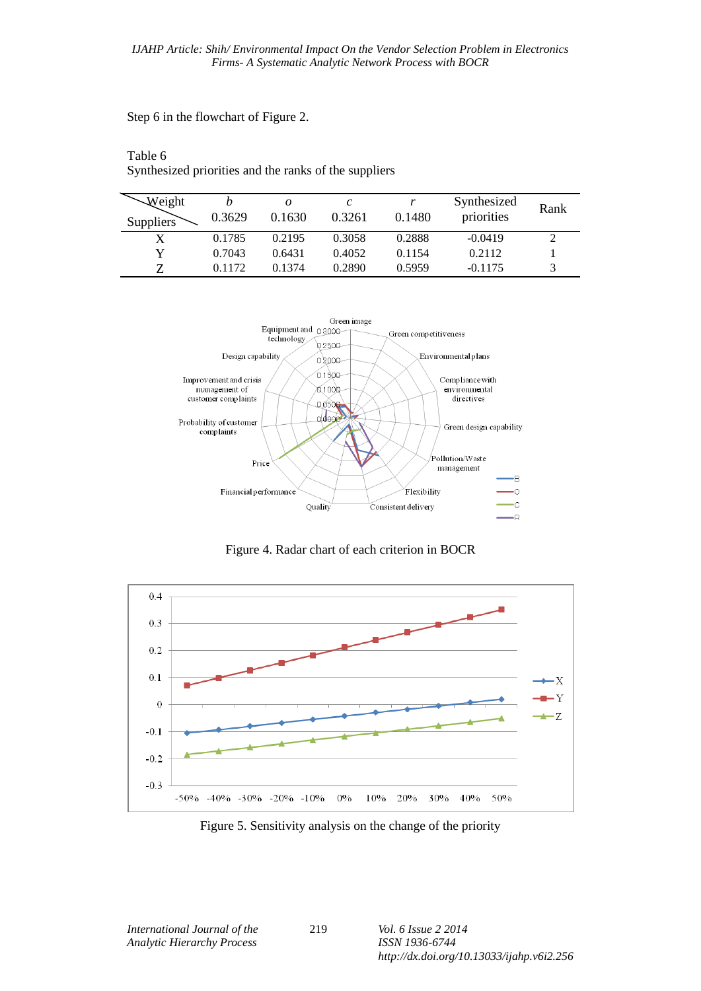Step 6 in the flowchart of Figure 2.

Table 6

Synthesized priorities and the ranks of the suppliers

| Weight<br>Suppliers | 0.3629 | 0.1630 | 0.3261 | 0.1480 | Synthesized<br>priorities | Rank |
|---------------------|--------|--------|--------|--------|---------------------------|------|
|                     | 0.1785 | 0.2195 | 0.3058 | 0.2888 | $-0.0419$                 |      |
| Y                   | 0.7043 | 0.6431 | 0.4052 | 0.1154 | 0.2112                    |      |
| ヮ                   | 0.1172 | 0.1374 | 0.2890 | 0.5959 | $-0.1175$                 |      |



Figure 4. Radar chart of each criterion in BOCR



Figure 5. Sensitivity analysis on the change of the priority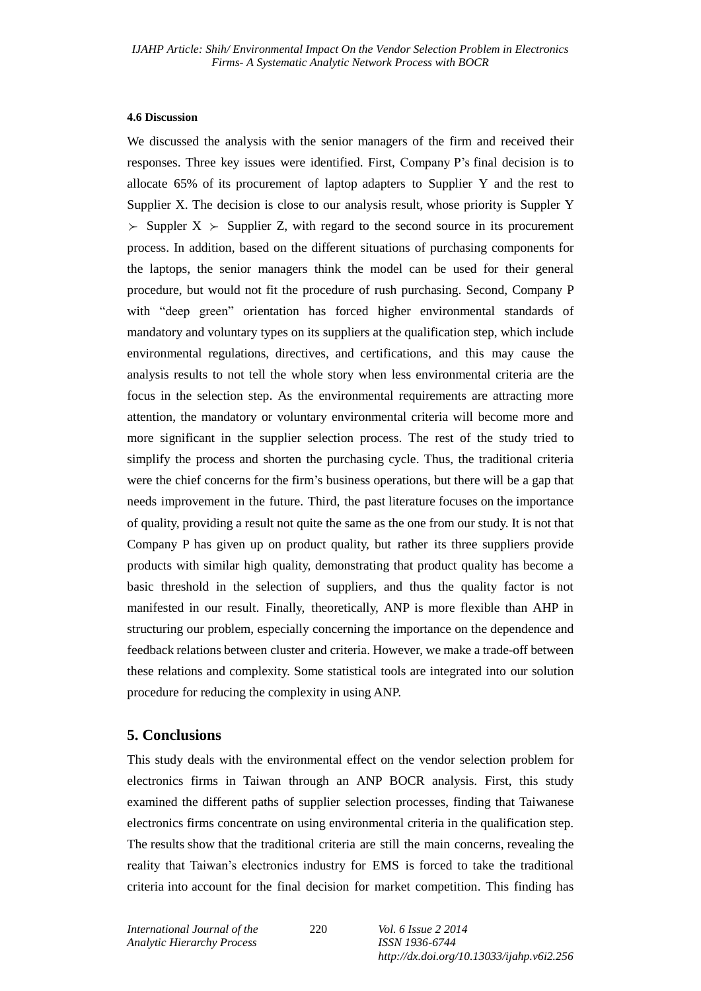#### **4.6 Discussion**

We discussed the analysis with the senior managers of the firm and received their responses. Three key issues were identified. First, Company P's final decision is to allocate 65% of its procurement of laptop adapters to Supplier Y and the rest to Supplier X. The decision is close to our analysis result, whose priority is Suppler Y  $\Sigma$  Suppler X  $\succ$  Supplier Z, with regard to the second source in its procurement process. In addition, based on the different situations of purchasing components for the laptops, the senior managers think the model can be used for their general procedure, but would not fit the procedure of rush purchasing. Second, Company P with "deep green" orientation has forced higher environmental standards of mandatory and voluntary types on its suppliers at the qualification step, which include environmental regulations, directives, and certifications, and this may cause the analysis results to not tell the whole story when less environmental criteria are the focus in the selection step. As the environmental requirements are attracting more attention, the mandatory or voluntary environmental criteria will become more and more significant in the supplier selection process. The rest of the study tried to simplify the process and shorten the purchasing cycle. Thus, the traditional criteria were the chief concerns for the firm's business operations, but there will be a gap that needs improvement in the future. Third, the past literature focuses on the importance of quality, providing a result not quite the same as the one from our study. It is not that Company P has given up on product quality, but rather its three suppliers provide products with similar high quality, demonstrating that product quality has become a basic threshold in the selection of suppliers, and thus the quality factor is not manifested in our result. Finally, theoretically, ANP is more flexible than AHP in structuring our problem, especially concerning the importance on the dependence and feedback relations between cluster and criteria. However, we make a trade-off between these relations and complexity. Some statistical tools are integrated into our solution procedure for reducing the complexity in using ANP.

### **5. Conclusions**

This study deals with the environmental effect on the vendor selection problem for electronics firms in Taiwan through an ANP BOCR analysis. First, this study examined the different paths of supplier selection processes, finding that Taiwanese electronics firms concentrate on using environmental criteria in the qualification step. The results show that the traditional criteria are still the main concerns, revealing the reality that Taiwan's electronics industry for EMS is forced to take the traditional criteria into account for the final decision for market competition. This finding has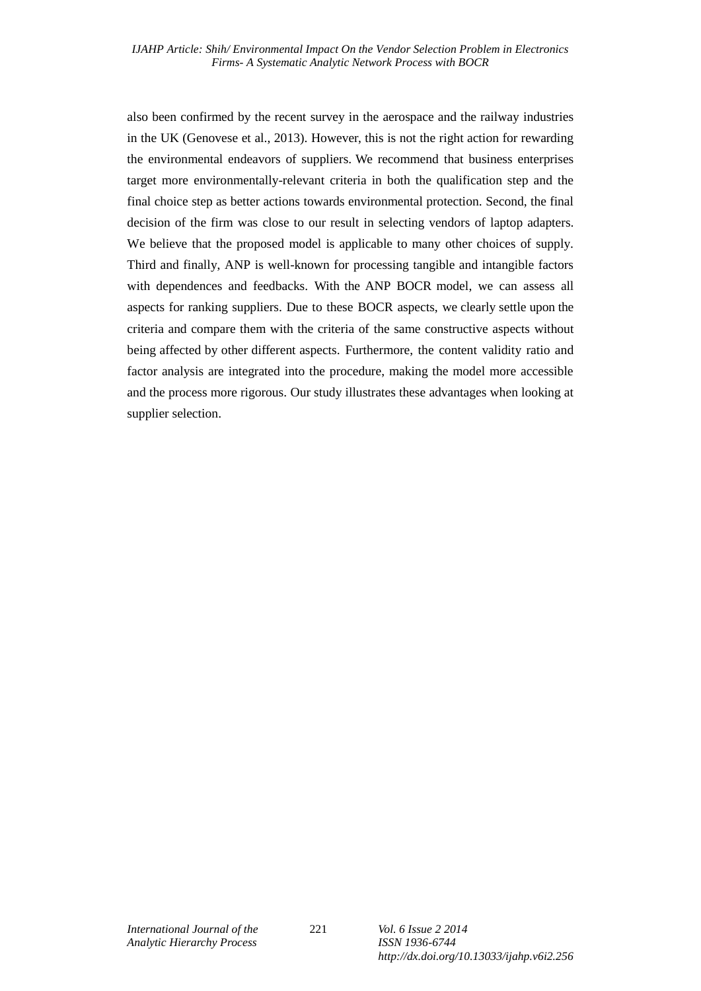also been confirmed by the recent survey in the aerospace and the railway industries in the UK (Genovese et al., 2013). However, this is not the right action for rewarding the environmental endeavors of suppliers. We recommend that business enterprises target more environmentally-relevant criteria in both the qualification step and the final choice step as better actions towards environmental protection. Second, the final decision of the firm was close to our result in selecting vendors of laptop adapters. We believe that the proposed model is applicable to many other choices of supply. Third and finally, ANP is well-known for processing tangible and intangible factors with dependences and feedbacks. With the ANP BOCR model, we can assess all aspects for ranking suppliers. Due to these BOCR aspects, we clearly settle upon the criteria and compare them with the criteria of the same constructive aspects without being affected by other different aspects. Furthermore, the content validity ratio and factor analysis are integrated into the procedure, making the model more accessible and the process more rigorous. Our study illustrates these advantages when looking at supplier selection.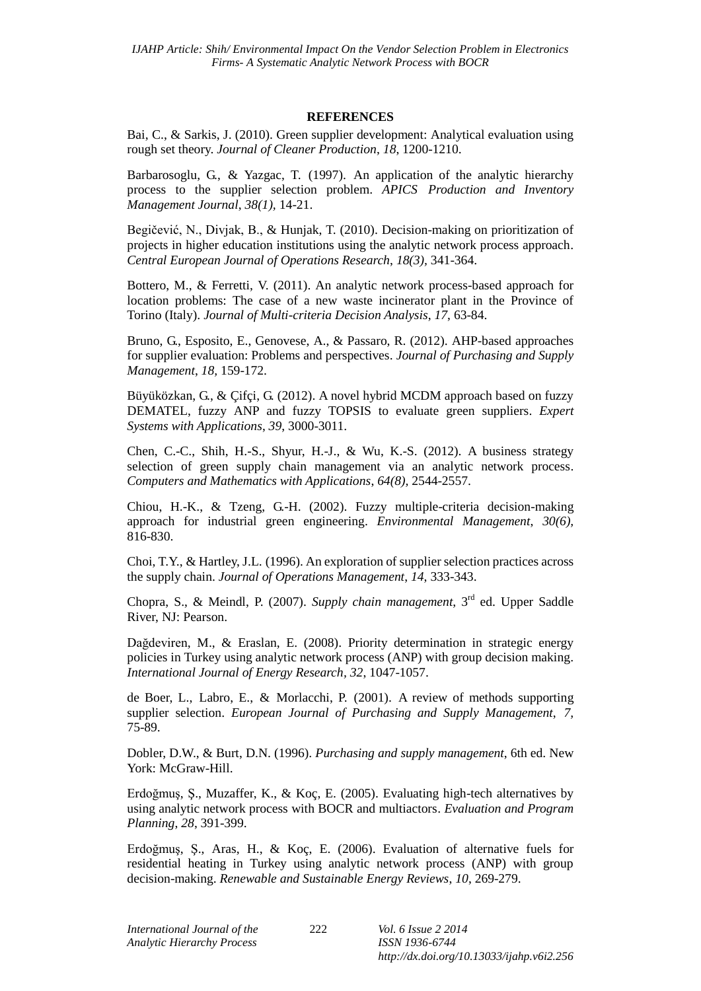### **REFERENCES**

Bai, C., & Sarkis, J. (2010). Green supplier development: Analytical evaluation using rough set theory. *Journal of Cleaner Production*, *18*, 1200-1210.

Barbarosoglu, G., & Yazgac, T. (1997). An application of the analytic hierarchy process to the supplier selection problem. *APICS Production and Inventory Management Journal*, *38(1),* 14-21.

Begičević, N., Divjak, B., & Hunjak, T. (2010). Decision-making on prioritization of projects in higher education institutions using the analytic network process approach. *Central European Journal of Operations Research*, *18(3),* 341-364.

Bottero, M., & Ferretti, V. (2011). An analytic network process-based approach for location problems: The case of a new waste incinerator plant in the Province of Torino (Italy). *Journal of Multi-criteria Decision Analysis*, *17*, 63-84.

Bruno, G., Esposito, E., Genovese, A., & Passaro, R. (2012). AHP-based approaches for supplier evaluation: Problems and perspectives. *Journal of Purchasing and Supply Management*, *18,* 159-172.

Büyüközkan, G., & Çifçi, G. (2012). A novel hybrid MCDM approach based on fuzzy DEMATEL, fuzzy ANP and fuzzy TOPSIS to evaluate green suppliers. *Expert Systems with Applications*, *39*, 3000-3011.

Chen, C.-C., Shih, H.-S., Shyur, H.-J., & Wu, K.-S. (2012). A business strategy selection of green supply chain management via an analytic network process. *Computers and Mathematics with Applications*, *64(8),* 2544-2557.

Chiou, H.-K., & Tzeng, G.-H. (2002). Fuzzy multiple-criteria decision-making approach for industrial green engineering. *Environmental Management*, *30(6),* 816-830.

Choi, T.Y., & Hartley, J.L. (1996). An exploration of supplier selection practices across the supply chain. *Journal of Operations Management*, *14*, 333-343.

Chopra, S., & Meindl, P. (2007). *Supply chain management*, 3<sup>rd</sup> ed. Upper Saddle River, NJ: Pearson.

Dağdeviren, M., & Eraslan, E. (2008). Priority determination in strategic energy policies in Turkey using analytic network process (ANP) with group decision making. *International Journal of Energy Research, 32*, 1047-1057.

de Boer, L., Labro, E., & Morlacchi, P. (2001). A review of methods supporting supplier selection. *European Journal of Purchasing and Supply Management*, *7,* 75-89.

Dobler, D.W., & Burt, D.N. (1996). *Purchasing and supply management*, 6th ed. New York: McGraw-Hill.

Erdoğmuş, Ş., Muzaffer, K., & Koç, E. (2005). Evaluating high-tech alternatives by using analytic network process with BOCR and multiactors. *Evaluation and Program Planning*, *28*, 391-399.

Erdoğmuş, Ş., Aras, H., & Koç, E. (2006). Evaluation of alternative fuels for residential heating in Turkey using analytic network process (ANP) with group decision-making. *Renewable and Sustainable Energy Reviews*, *10*, 269-279.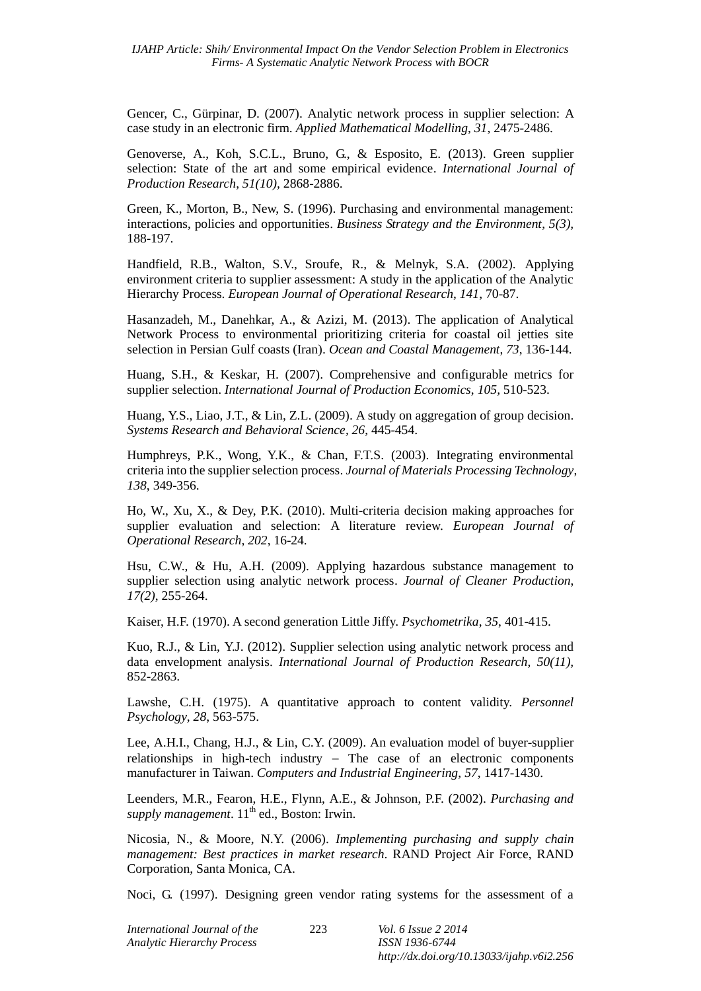Gencer, C., Gürpinar, D. (2007). Analytic network process in supplier selection: A case study in an electronic firm. *Applied Mathematical Modelling*, *31*, 2475-2486.

Genoverse, A., Koh, S.C.L., Bruno, G., & Esposito, E. (2013). Green supplier selection: State of the art and some empirical evidence. *International Journal of Production Research*, *51(10),* 2868-2886.

Green, K., Morton, B., New, S. (1996). Purchasing and environmental management: interactions, policies and opportunities. *Business Strategy and the Environment*, *5(3),* 188-197.

Handfield, R.B., Walton, S.V., Sroufe, R., & Melnyk, S.A. (2002). Applying environment criteria to supplier assessment: A study in the application of the Analytic Hierarchy Process. *European Journal of Operational Research*, *141*, 70-87.

Hasanzadeh, M., Danehkar, A., & Azizi, M. (2013). The application of Analytical Network Process to environmental prioritizing criteria for coastal oil jetties site selection in Persian Gulf coasts (Iran). *Ocean and Coastal Management*, *73*, 136-144.

Huang, S.H., & Keskar, H. (2007). Comprehensive and configurable metrics for supplier selection. *International Journal of Production Economics*, *105,* 510-523.

Huang, Y.S., Liao, J.T., & Lin, Z.L. (2009). A study on aggregation of group decision. *Systems Research and Behavioral Science, 26*, 445-454.

Humphreys, P.K., Wong, Y.K., & Chan, F.T.S. (2003). Integrating environmental criteria into the supplier selection process. *Journal of Materials Processing Technology*, *138*, 349-356.

Ho, W., Xu, X., & Dey, P.K. (2010). Multi-criteria decision making approaches for supplier evaluation and selection: A literature review. *European Journal of Operational Research*, *202*, 16-24.

Hsu, C.W., & Hu, A.H. (2009). Applying hazardous substance management to supplier selection using analytic network process. *[Journal of Cleaner Production](http://www.sciencedirect.com/science/journal/09596526)*, *[17\(2\)](http://www.sciencedirect.com/science/journal/09596526/17/2)*, 255-264.

Kaiser, H.F. (1970). A second generation Little Jiffy. *Psychometrika*, *35*, 401-415.

Kuo, R.J., & Lin, Y.J. (2012). Supplier selection using analytic network process and data envelopment analysis. *International Journal of Production Research*, *50(11),* 852-2863.

Lawshe, C.H. (1975). A quantitative approach to content validity. *Personnel Psychology*, *28*, 563-575.

Lee, A.H.I., Chang, H.J., & Lin, C.Y. (2009). An evaluation model of buyer-supplier relationships in high-tech industry  $-$  The case of an electronic components manufacturer in Taiwan. *Computers and Industrial Engineering*, *57*, 1417-1430.

Leenders, M.R., Fearon, H.E., Flynn, A.E., & Johnson, P.F. (2002). *Purchasing and supply management*. 11<sup>th</sup> ed., Boston: Irwin.

Nicosia, N., & Moore, N.Y. (2006). *Implementing purchasing and supply chain management: Best practices in market research*. RAND Project Air Force, RAND Corporation, Santa Monica, CA.

Noci, G. (1997). Designing green vendor rating systems for the assessment of a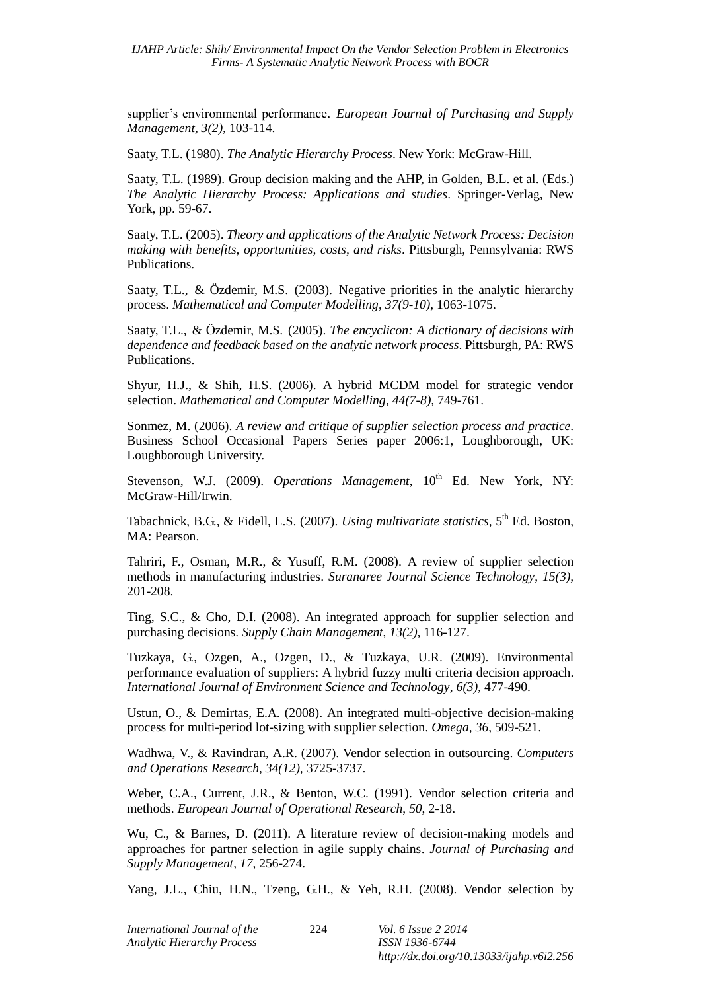supplier's environmental performance. *European Journal of Purchasing and Supply Management, 3(2),* 103-114.

Saaty, T.L. (1980). *The Analytic Hierarchy Process*. New York: McGraw-Hill.

Saaty, T.L. (1989). Group decision making and the AHP, in Golden, B.L. et al. (Eds.) *The Analytic Hierarchy Process: Applications and studies*. Springer-Verlag, New York, pp. 59-67.

Saaty, T.L. (2005). *Theory and applications of the Analytic Network Process: Decision making with benefits, opportunities, costs, and risks*. Pittsburgh, Pennsylvania: RWS Publications.

Saaty, T.L., & Özdemir, M.S. (2003). Negative priorities in the analytic hierarchy process. *Mathematical and Computer Modelling*, *37(9-10),* 1063-1075.

Saaty, T.L., & Özdemir, M.S. (2005). *The encyclicon: A dictionary of decisions with dependence and feedback based on the analytic network process*. Pittsburgh, PA: RWS Publications.

Shyur, H.J., & Shih, H.S. (2006). A hybrid MCDM model for strategic vendor selection. *Mathematical and Computer Modelling*, *44(7-8),* 749-761.

Sonmez, M. (2006). *A review and critique of supplier selection process and practice*. Business School Occasional Papers Series paper 2006:1, Loughborough, UK: Loughborough University.

Stevenson, W.J. (2009). *Operations Management*, 10<sup>th</sup> Ed. New York, NY: McGraw-Hill/Irwin.

Tabachnick, B.G., & Fidell, L.S. (2007). *Using multivariate statistics*, 5<sup>th</sup> Ed. Boston, MA: Pearson.

Tahriri, F., Osman, M.R., & Yusuff, R.M. (2008). A review of supplier selection methods in manufacturing industries. *Suranaree Journal Science Technology*, *15(3),* 201-208.

Ting, S.C., & Cho, D.I. (2008). An integrated approach for supplier selection and purchasing decisions. *Supply Chain Management*, *13(2),* 116-127.

Tuzkaya, G., Ozgen, A., Ozgen, D., & Tuzkaya, U.R. (2009). Environmental performance evaluation of suppliers: A hybrid fuzzy multi criteria decision approach. *International Journal of Environment Science and Technology*, *6(3),* 477-490.

Ustun, O., & Demirtas, E.A. (2008). An integrated multi-objective decision-making process for multi-period lot-sizing with supplier selection. *Omega*, *36*, 509-521.

Wadhwa, V., & Ravindran, A.R. (2007). Vendor selection in outsourcing. *Computers and Operations Research*, *34(12),* 3725-3737.

Weber, C.A., Current, J.R., & Benton, W.C. (1991). Vendor selection criteria and methods. *European Journal of Operational Research*, *50*, 2-18.

Wu, C., & Barnes, D. (2011). A literature review of decision-making models and approaches for partner selection in agile supply chains. *Journal of Purchasing and Supply Management*, *17*, 256-274.

Yang, J.L., Chiu, H.N., Tzeng, G.H., & Yeh, R.H. (2008). Vendor selection by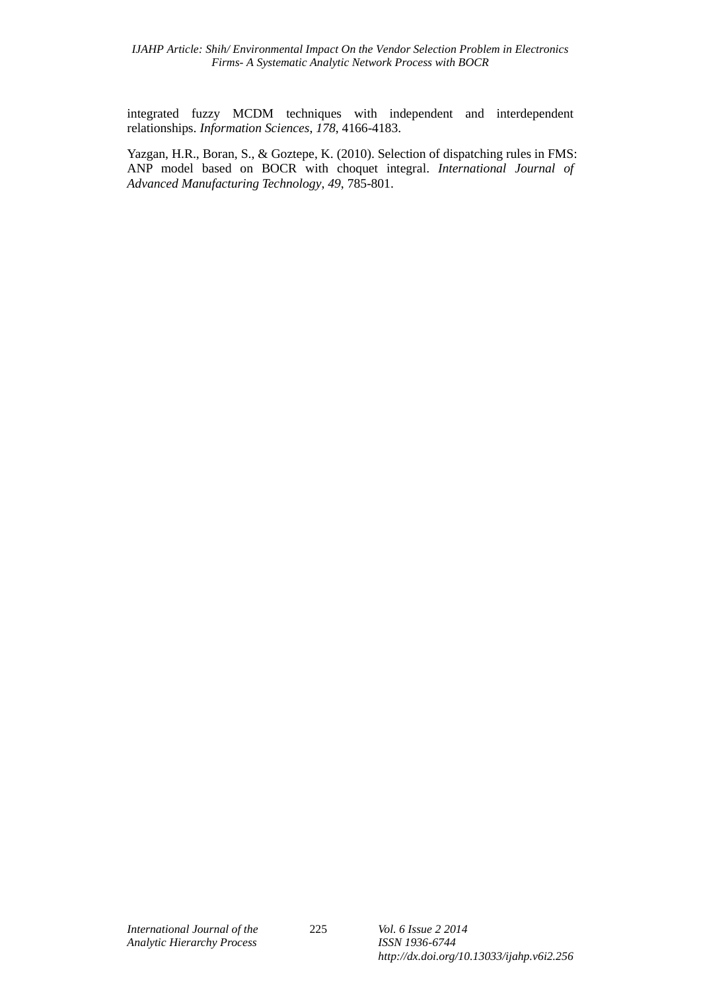integrated fuzzy MCDM techniques with independent and interdependent relationships. *Information Sciences*, *178*, 4166-4183.

Yazgan, H.R., Boran, S., & Goztepe, K. (2010). Selection of dispatching rules in FMS: ANP model based on BOCR with choquet integral. *International Journal of Advanced Manufacturing Technology*, *49*, 785-801.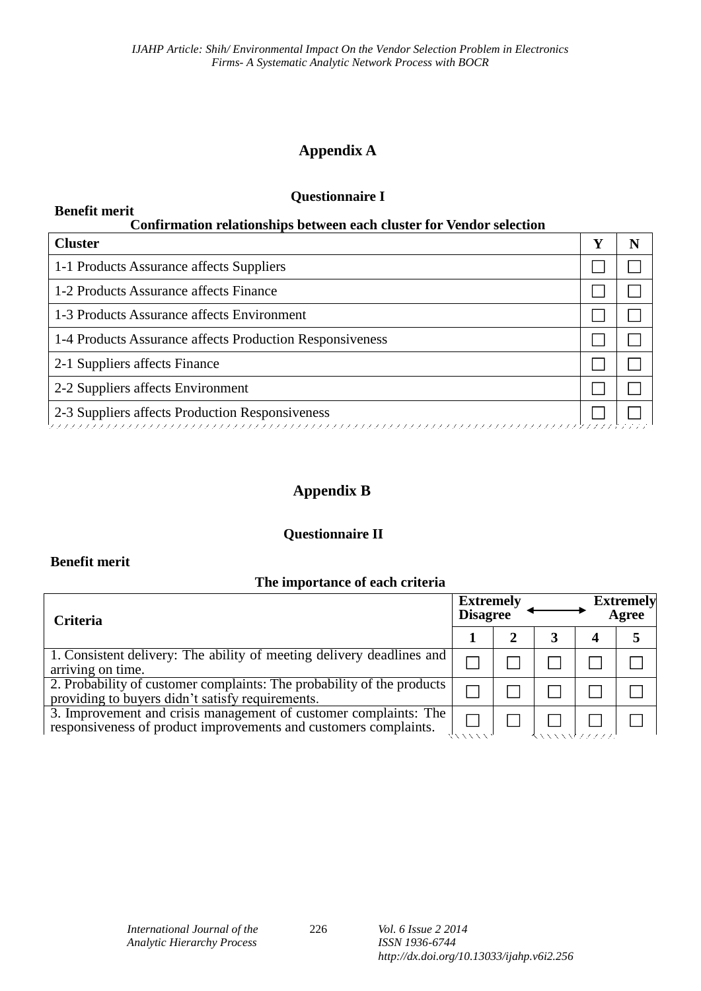# **Appendix A**

# **Questionnaire I**

### **Benefit merit Confirmation relationships between each cluster for Vendor selection**

| <b>Cluster</b>                                           |  |  |  |  |  |  |  |
|----------------------------------------------------------|--|--|--|--|--|--|--|
| 1-1 Products Assurance affects Suppliers                 |  |  |  |  |  |  |  |
| 1-2 Products Assurance affects Finance                   |  |  |  |  |  |  |  |
| 1-3 Products Assurance affects Environment               |  |  |  |  |  |  |  |
| 1-4 Products Assurance affects Production Responsiveness |  |  |  |  |  |  |  |
| 2-1 Suppliers affects Finance                            |  |  |  |  |  |  |  |
| 2-2 Suppliers affects Environment                        |  |  |  |  |  |  |  |
| 2-3 Suppliers affects Production Responsiveness          |  |  |  |  |  |  |  |

# **Appendix B**

# **Questionnaire II**

# **Benefit merit**

# **The importance of each criteria**

| <b>Criteria</b>                                                                                                                      | <b>Extremely</b><br><b>Disagree</b> |  | <b>Extremely</b><br>Agree |  |  |
|--------------------------------------------------------------------------------------------------------------------------------------|-------------------------------------|--|---------------------------|--|--|
|                                                                                                                                      |                                     |  |                           |  |  |
| 1. Consistent delivery: The ability of meeting delivery deadlines and<br>arriving on time.                                           |                                     |  |                           |  |  |
| 2. Probability of customer complaints: The probability of the products<br>providing to buyers didn't satisfy requirements.           |                                     |  |                           |  |  |
| 3. Improvement and crisis management of customer complaints: The<br>responsiveness of product improvements and customers complaints. |                                     |  |                           |  |  |